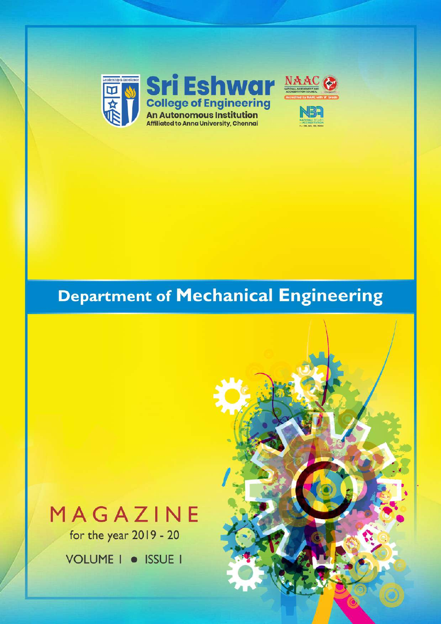

## **Department of Mechanical Engineering**

# MAGAZINE

for the year 2019 - 20

VOLUME | · ISSUE |

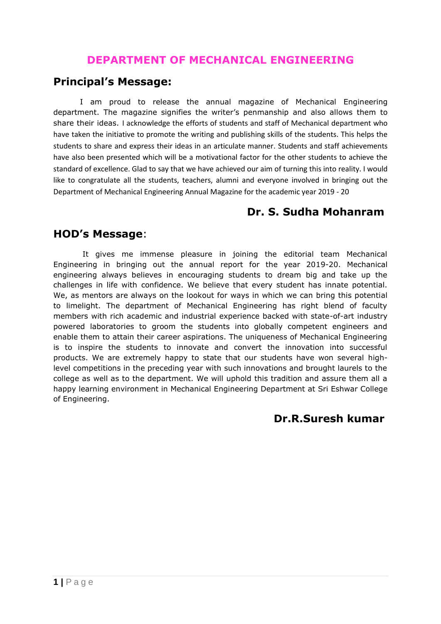## **DEPARTMENT OF MECHANICAL ENGINEERING**

#### **Principal's Message:**

I am proud to release the annual magazine of Mechanical Engineering department. The magazine signifies the writer's penmanship and also allows them to share their ideas. I acknowledge the efforts of students and staff of Mechanical department who have taken the initiative to promote the writing and publishing skills of the students. This helps the students to share and express their ideas in an articulate manner. Students and staff achievements have also been presented which will be a motivational factor for the other students to achieve the standard of excellence. Glad to say that we have achieved our aim of turning this into reality. I would like to congratulate all the students, teachers, alumni and everyone involved in bringing out the Department of Mechanical Engineering Annual Magazine for the academic year 2019 - 20

## **Dr. S. Sudha Mohanram**

#### **HOD's Message**:

It gives me immense pleasure in joining the editorial team Mechanical Engineering in bringing out the annual report for the year 2019-20. Mechanical engineering always believes in encouraging students to dream big and take up the challenges in life with confidence. We believe that every student has innate potential. We, as mentors are always on the lookout for ways in which we can bring this potential to limelight. The department of Mechanical Engineering has right blend of faculty members with rich academic and industrial experience backed with state-of-art industry powered laboratories to groom the students into globally competent engineers and enable them to attain their career aspirations. The uniqueness of Mechanical Engineering is to inspire the students to innovate and convert the innovation into successful products. We are extremely happy to state that our students have won several highlevel competitions in the preceding year with such innovations and brought laurels to the college as well as to the department. We will uphold this tradition and assure them all a happy learning environment in Mechanical Engineering Department at Sri Eshwar College of Engineering.

#### **Dr.R.Suresh kumar**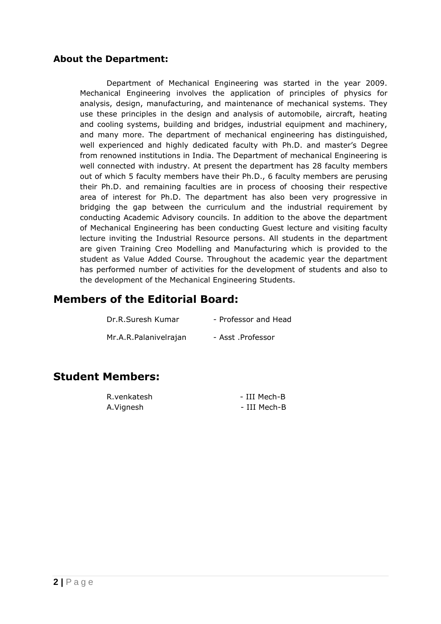#### **About the Department:**

Department of Mechanical Engineering was started in the year 2009. Mechanical Engineering involves the application of principles of physics for analysis, design, manufacturing, and maintenance of mechanical systems. They use these principles in the design and analysis of automobile, aircraft, heating and cooling systems, building and bridges, industrial equipment and machinery, and many more. The department of mechanical engineering has distinguished, well experienced and highly dedicated faculty with Ph.D. and master's Degree from renowned institutions in India. The Department of mechanical Engineering is well connected with industry. At present the department has 28 faculty members out of which 5 faculty members have their Ph.D., 6 faculty members are perusing their Ph.D. and remaining faculties are in process of choosing their respective area of interest for Ph.D. The department has also been very progressive in bridging the gap between the curriculum and the industrial requirement by conducting Academic Advisory councils. In addition to the above the department of Mechanical Engineering has been conducting Guest lecture and visiting faculty lecture inviting the Industrial Resource persons. All students in the department are given Training Creo Modelling and Manufacturing which is provided to the student as Value Added Course. Throughout the academic year the department has performed number of activities for the development of students and also to the development of the Mechanical Engineering Students.

#### **Members of the Editorial Board:**

| Dr.R.Suresh Kumar     | - Professor and Head |
|-----------------------|----------------------|
| Mr.A.R.Palanivelrajan | - Asst .Professor    |

#### **Student Members:**

| R.venkatesh | - III Mech-B |
|-------------|--------------|
| A.Vignesh   | - III Mech-B |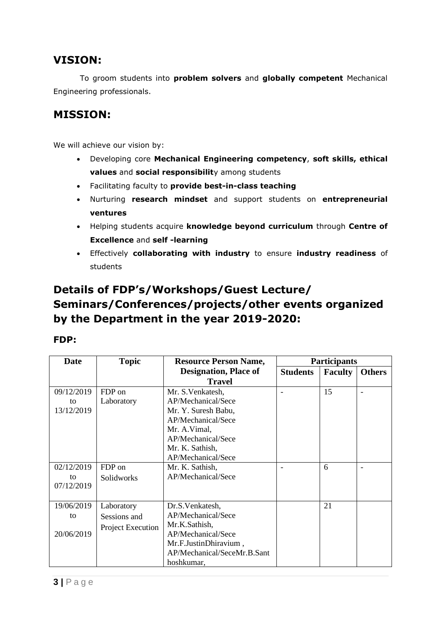## **VISION:**

To groom students into **problem solvers** and **globally competent** Mechanical Engineering professionals.

## **MISSION:**

We will achieve our vision by:

- Developing core **Mechanical Engineering competency**, **soft skills, ethical values** and **social responsibilit**y among students
- Facilitating faculty to **provide best-in-class teaching**
- Nurturing **research mindset** and support students on **entrepreneurial ventures**
- Helping students acquire **knowledge beyond curriculum** through **Centre of Excellence** and **self -learning**
- Effectively **collaborating with industry** to ensure **industry readiness** of students

## **Details of FDP's/Workshops/Guest Lecture/ Seminars/Conferences/projects/other events organized by the Department in the year 2019-2020:**

#### **FDP:**

| Date       | <b>Topic</b>      | <b>Resource Person Name,</b> |                 | <b>Participants</b> |               |
|------------|-------------------|------------------------------|-----------------|---------------------|---------------|
|            |                   | <b>Designation, Place of</b> | <b>Students</b> | <b>Faculty</b>      | <b>Others</b> |
|            |                   | <b>Travel</b>                |                 |                     |               |
| 09/12/2019 | FDP on            | Mr. S. Venkatesh,            |                 | 15                  |               |
| to         | Laboratory        | AP/Mechanical/Sece           |                 |                     |               |
| 13/12/2019 |                   | Mr. Y. Suresh Babu,          |                 |                     |               |
|            |                   | AP/Mechanical/Sece           |                 |                     |               |
|            |                   | Mr. A. Vimal,                |                 |                     |               |
|            |                   | AP/Mechanical/Sece           |                 |                     |               |
|            |                   | Mr. K. Sathish,              |                 |                     |               |
|            |                   | AP/Mechanical/Sece           |                 |                     |               |
| 02/12/2019 | FDP on            | Mr. K. Sathish,              |                 | 6                   |               |
| to         | Solidworks        | AP/Mechanical/Sece           |                 |                     |               |
| 07/12/2019 |                   |                              |                 |                     |               |
|            |                   |                              |                 |                     |               |
| 19/06/2019 | Laboratory        | Dr.S.Venkatesh,              |                 | 21                  |               |
| to         | Sessions and      | AP/Mechanical/Sece           |                 |                     |               |
|            | Project Execution | Mr.K.Sathish,                |                 |                     |               |
| 20/06/2019 |                   | AP/Mechanical/Sece           |                 |                     |               |
|            |                   | Mr.F.JustinDhiravium,        |                 |                     |               |
|            |                   | AP/Mechanical/SeceMr.B.Sant  |                 |                     |               |
|            |                   | hoshkumar,                   |                 |                     |               |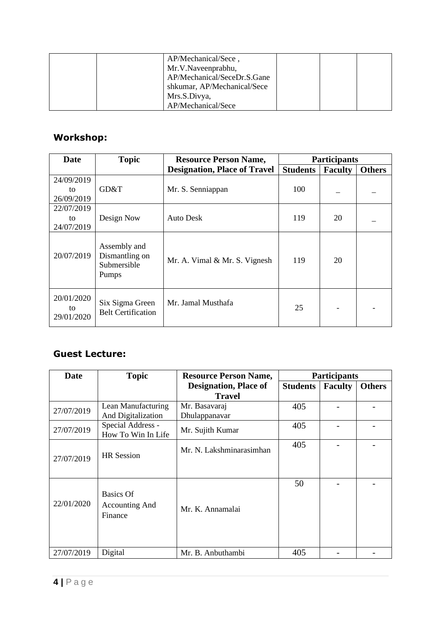| AP/Mechanical/Sece,<br>Mr.V.Naveenprabhu,<br>AP/Mechanical/SeceDr.S.Gane<br>shkumar, AP/Mechanical/Sece<br>Mrs.S.Divya, |  |  |
|-------------------------------------------------------------------------------------------------------------------------|--|--|
| AP/Mechanical/Sece                                                                                                      |  |  |

## **Workshop:**

| <b>Date</b>                    | <b>Topic</b>                                           | <b>Resource Person Name,</b>        |                 | <b>Participants</b> |               |  |
|--------------------------------|--------------------------------------------------------|-------------------------------------|-----------------|---------------------|---------------|--|
|                                |                                                        | <b>Designation, Place of Travel</b> | <b>Students</b> | <b>Faculty</b>      | <b>Others</b> |  |
| 24/09/2019<br>to<br>26/09/2019 | GD&T                                                   | Mr. S. Senniappan                   | 100             |                     |               |  |
| 22/07/2019<br>to<br>24/07/2019 | Design Now                                             | Auto Desk                           | 119             | 20                  |               |  |
| 20/07/2019                     | Assembly and<br>Dismantling on<br>Submersible<br>Pumps | Mr. A. Vimal & Mr. S. Vignesh       | 119             | 20                  |               |  |
| 20/01/2020<br>to<br>29/01/2020 | Six Sigma Green<br><b>Belt Certification</b>           | Mr. Jamal Musthafa                  | 25              |                     |               |  |

#### **Guest Lecture:**

| <b>Date</b> | <b>Topic</b>                                  | <b>Resource Person Name,</b>                  |                 | <b>Participants</b> |               |  |
|-------------|-----------------------------------------------|-----------------------------------------------|-----------------|---------------------|---------------|--|
|             |                                               | <b>Designation, Place of</b><br><b>Travel</b> | <b>Students</b> | <b>Faculty</b>      | <b>Others</b> |  |
| 27/07/2019  | Lean Manufacturing<br>And Digitalization      | Mr. Basavaraj<br>Dhulappanavar                | 405             |                     |               |  |
| 27/07/2019  | Special Address -<br>How To Win In Life       | Mr. Sujith Kumar                              | 405             |                     |               |  |
| 27/07/2019  | <b>HR</b> Session                             | Mr. N. Lakshminarasimhan                      | 405             |                     |               |  |
| 22/01/2020  | <b>Basics Of</b><br>Accounting And<br>Finance | Mr. K. Annamalai                              | 50              |                     |               |  |
| 27/07/2019  | Digital                                       | Mr. B. Anbuthambi                             | 405             |                     |               |  |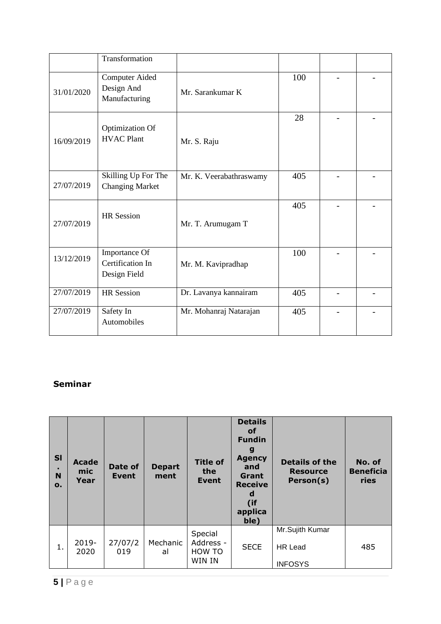|            | Transformation                                       |                         |     |                          |  |
|------------|------------------------------------------------------|-------------------------|-----|--------------------------|--|
| 31/01/2020 | <b>Computer Aided</b><br>Design And<br>Manufacturing | Mr. Sarankumar K        | 100 |                          |  |
| 16/09/2019 | Optimization Of<br><b>HVAC Plant</b>                 | Mr. S. Raju             | 28  |                          |  |
| 27/07/2019 | Skilling Up For The<br><b>Changing Market</b>        | Mr. K. Veerabathraswamy | 405 |                          |  |
| 27/07/2019 | <b>HR</b> Session                                    | Mr. T. Arumugam T       | 405 | $\overline{\phantom{0}}$ |  |
| 13/12/2019 | Importance Of<br>Certification In<br>Design Field    | Mr. M. Kavipradhap      | 100 |                          |  |
| 27/07/2019 | <b>HR</b> Session                                    | Dr. Lavanya kannairam   | 405 |                          |  |
| 27/07/2019 | Safety In<br>Automobiles                             | Mr. Mohanraj Natarajan  | 405 |                          |  |

#### **Seminar**

| <b>SI</b><br>N<br>$\mathbf{o}$ . | <b>Acade</b><br>mic<br>Year | Date of<br>Event | <b>Depart</b><br>ment | <b>Title of</b><br>the<br><b>Event</b>   | <b>Details</b><br>οf<br><b>Fundin</b><br>g<br><b>Agency</b><br>and<br>Grant<br><b>Receive</b><br>d<br>(if<br>applica<br>ble) | <b>Details of the</b><br><b>Resource</b><br>Person(s) | No. of<br><b>Beneficia</b><br>ries |
|----------------------------------|-----------------------------|------------------|-----------------------|------------------------------------------|------------------------------------------------------------------------------------------------------------------------------|-------------------------------------------------------|------------------------------------|
| 1.                               | $2019 -$<br>2020            | 27/07/2<br>019   | Mechanic<br>al        | Special<br>Address -<br>HOW TO<br>WIN IN | <b>SECE</b>                                                                                                                  | Mr.Sujith Kumar<br>HR Lead<br><b>INFOSYS</b>          | 485                                |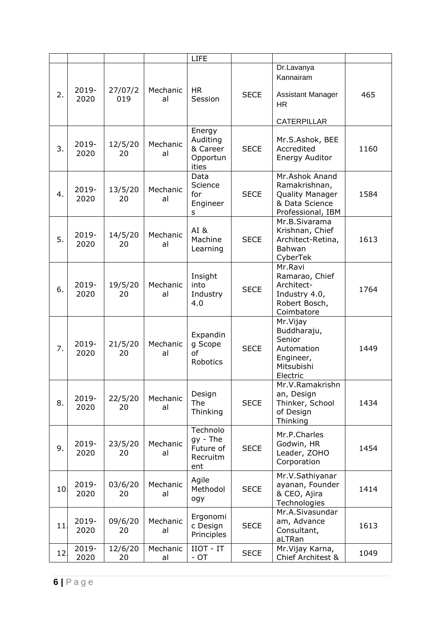|     |                  |                |                | <b>LIFE</b>                                            |             |                                                                                           |      |
|-----|------------------|----------------|----------------|--------------------------------------------------------|-------------|-------------------------------------------------------------------------------------------|------|
| 2.  | 2019-<br>2020    | 27/07/2<br>019 | Mechanic<br>al | <b>HR</b><br>Session                                   | <b>SECE</b> | Dr.Lavanya<br>Kannairam<br><b>Assistant Manager</b><br><b>HR</b><br><b>CATERPILLAR</b>    | 465  |
| 3.  | 2019-<br>2020    | 12/5/20<br>20  | Mechanic<br>al | Energy<br>Auditing<br>& Career<br>Opportun<br>ities    | <b>SECE</b> | Mr.S.Ashok, BEE<br>Accredited<br>Energy Auditor                                           | 1160 |
| 4.  | 2019-<br>2020    | 13/5/20<br>20  | Mechanic<br>al | Data<br>Science<br>for<br>Engineer<br>s                | <b>SECE</b> | Mr.Ashok Anand<br>Ramakrishnan,<br>Quality Manager<br>& Data Science<br>Professional, IBM | 1584 |
| 5.  | 2019-<br>2020    | 14/5/20<br>20  | Mechanic<br>al | AI&<br>Machine<br>Learning                             | <b>SECE</b> | Mr.B.Sivarama<br>Krishnan, Chief<br>Architect-Retina,<br>Bahwan<br>CyberTek               | 1613 |
| 6.  | 2019-<br>2020    | 19/5/20<br>20  | Mechanic<br>al | Insight<br>into<br>Industry<br>4.0                     | <b>SECE</b> | Mr.Ravi<br>Ramarao, Chief<br>Architect-<br>Industry 4.0,<br>Robert Bosch,<br>Coimbatore   | 1764 |
| 7.  | $2019 -$<br>2020 | 21/5/20<br>20  | Mechanic<br>al | Expandin<br>g Scope<br>of<br>Robotics                  | <b>SECE</b> | Mr. Vijay<br>Buddharaju,<br>Senior<br>Automation<br>Engineer,<br>Mitsubishi<br>Electric   | 1449 |
| 8.  | 2019-<br>2020    | 22/5/20<br>20  | Mechanic<br>al | Design<br>The<br>Thinking                              | <b>SECE</b> | Mr.V.Ramakrishn<br>an, Design<br>Thinker, School<br>of Design<br>Thinking                 | 1434 |
| 9.  | 2019-<br>2020    | 23/5/20<br>20  | Mechanic<br>al | Technolo<br>$gy - The$<br>Future of<br>Recruitm<br>ent | <b>SECE</b> | Mr.P.Charles<br>Godwin, HR<br>Leader, ZOHO<br>Corporation                                 | 1454 |
| 10  | 2019-<br>2020    | 03/6/20<br>20  | Mechanic<br>al | Agile<br>Methodol<br>ogy                               | <b>SECE</b> | Mr.V.Sathiyanar<br>ayanan, Founder<br>& CEO, Ajira<br>Technologies                        | 1414 |
| 11. | 2019-<br>2020    | 09/6/20<br>20  | Mechanic<br>al | Ergonomi<br>c Design<br>Principles                     | <b>SECE</b> | Mr.A.Sivasundar<br>am, Advance<br>Consultant,<br>aLTRan                                   | 1613 |
| 12  | 2019-<br>2020    | 12/6/20<br>20  | Mechanic<br>al | IIOT - IT<br>$-OT$                                     | <b>SECE</b> | Mr. Vijay Karna,<br>Chief Architest &                                                     | 1049 |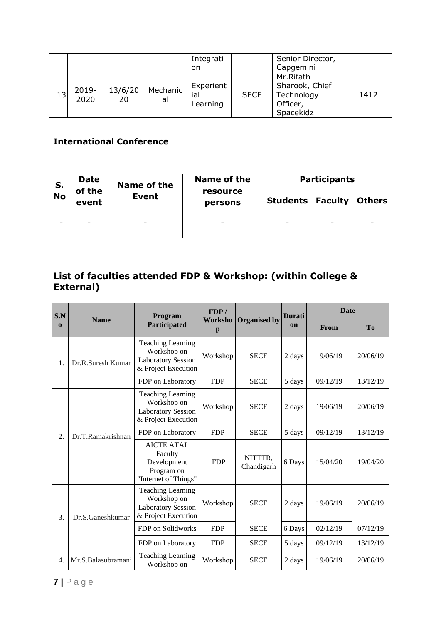|    |                  |               |                | Integrati<br>on              |             | Senior Director,<br>Capgemini                                      |      |
|----|------------------|---------------|----------------|------------------------------|-------------|--------------------------------------------------------------------|------|
| 13 | $2019 -$<br>2020 | 13/6/20<br>20 | Mechanic<br>al | Experient<br>ial<br>Learning | <b>SECE</b> | Mr.Rifath<br>Sharook, Chief<br>Technology<br>Officer,<br>Spacekidz | 1412 |

#### **International Conference**

| S.        | <b>Date</b><br>of the<br>event | Name of the  | Name of the<br>resource | <b>Participants</b>       |   |               |
|-----------|--------------------------------|--------------|-------------------------|---------------------------|---|---------------|
| <b>No</b> |                                | <b>Event</b> | persons                 | <b>Students   Faculty</b> |   | <b>Others</b> |
| -         | $\overline{\phantom{0}}$       |              |                         | ۰                         | - | -             |

#### **List of faculties attended FDP & Workshop: (within College & External)**

| S.N          |                    | Program                                                                                     | FDP/       |                       | <b>Durati</b> | <b>Date</b> |           |
|--------------|--------------------|---------------------------------------------------------------------------------------------|------------|-----------------------|---------------|-------------|-----------|
| $\mathbf{0}$ | <b>Name</b>        | Worksho<br>Participated<br>p                                                                |            | <b>Organised by</b>   | <b>on</b>     | From        | <b>To</b> |
| 1.           | Dr.R.Suresh Kumar  | <b>Teaching Learning</b><br>Workshop on<br><b>Laboratory Session</b><br>& Project Execution | Workshop   | <b>SECE</b>           | 2 days        | 19/06/19    | 20/06/19  |
|              |                    | FDP on Laboratory                                                                           | <b>FDP</b> | <b>SECE</b>           | 5 days        | 09/12/19    | 13/12/19  |
|              |                    | <b>Teaching Learning</b><br>Workshop on<br><b>Laboratory Session</b><br>& Project Execution | Workshop   | <b>SECE</b>           | 2 days        | 19/06/19    | 20/06/19  |
| 2.           | Dr.T.Ramakrishnan  | FDP on Laboratory                                                                           | <b>FDP</b> | <b>SECE</b>           | 5 days        | 09/12/19    | 13/12/19  |
|              |                    | <b>AICTE ATAL</b><br>Faculty<br>Development<br>Program on<br>"Internet of Things"           | <b>FDP</b> | NITTTR,<br>Chandigarh | 6 Days        | 15/04/20    | 19/04/20  |
| 3.           | Dr.S.Ganeshkumar   | Teaching Learning<br>Workshop on<br><b>Laboratory Session</b><br>& Project Execution        | Workshop   | <b>SECE</b>           | 2 days        | 19/06/19    | 20/06/19  |
|              |                    | FDP on Solidworks                                                                           | <b>FDP</b> | <b>SECE</b>           | 6 Days        | 02/12/19    | 07/12/19  |
|              |                    | FDP on Laboratory                                                                           | <b>FDP</b> | <b>SECE</b>           | 5 days        | 09/12/19    | 13/12/19  |
| 4.           | Mr.S.Balasubramani | <b>Teaching Learning</b><br>Workshop on                                                     | Workshop   | <b>SECE</b>           | 2 days        | 19/06/19    | 20/06/19  |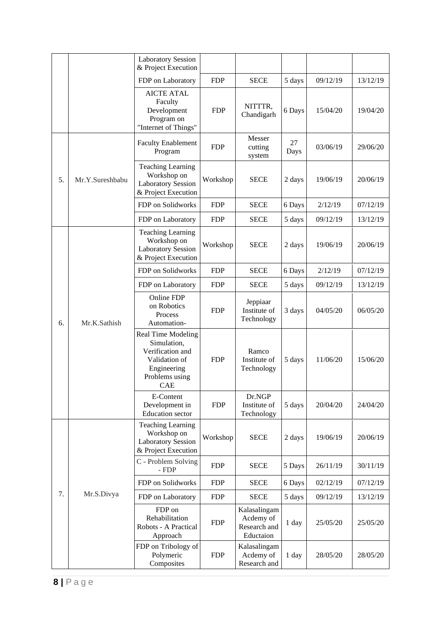|    |                                                                                             | <b>Laboratory Session</b><br>& Project Execution                                                                             |             |                                                        |            |          |          |
|----|---------------------------------------------------------------------------------------------|------------------------------------------------------------------------------------------------------------------------------|-------------|--------------------------------------------------------|------------|----------|----------|
|    |                                                                                             | FDP on Laboratory                                                                                                            | <b>FDP</b>  | <b>SECE</b>                                            | 5 days     | 09/12/19 | 13/12/19 |
|    |                                                                                             | <b>AICTE ATAL</b><br>Faculty<br>Development<br>Program on<br>"Internet of Things"                                            | <b>FDP</b>  | NITTTR,<br>Chandigarh                                  | 6 Days     | 15/04/20 | 19/04/20 |
|    |                                                                                             | <b>Faculty Enablement</b><br>Program                                                                                         | <b>FDP</b>  | Messer<br>cutting<br>system                            | 27<br>Days | 03/06/19 | 29/06/20 |
| 5. | Mr.Y.Sureshbabu                                                                             | <b>Teaching Learning</b><br>Workshop on<br><b>Laboratory Session</b><br>& Project Execution                                  | Workshop    | <b>SECE</b>                                            | 2 days     | 19/06/19 | 20/06/19 |
|    |                                                                                             | FDP on Solidworks                                                                                                            | <b>FDP</b>  | <b>SECE</b>                                            | 6 Days     | 2/12/19  | 07/12/19 |
|    |                                                                                             | FDP on Laboratory                                                                                                            | <b>FDP</b>  | <b>SECE</b>                                            | 5 days     | 09/12/19 | 13/12/19 |
|    | <b>Teaching Learning</b><br>Workshop on<br><b>Laboratory Session</b><br>& Project Execution | Workshop                                                                                                                     | <b>SECE</b> | 2 days                                                 | 19/06/19   | 20/06/19 |          |
|    |                                                                                             | FDP on Solidworks                                                                                                            | <b>FDP</b>  | <b>SECE</b>                                            | 6 Days     | 2/12/19  | 07/12/19 |
|    | Mr.K.Sathish                                                                                | FDP on Laboratory                                                                                                            | <b>FDP</b>  | <b>SECE</b>                                            | 5 days     | 09/12/19 | 13/12/19 |
| 6. |                                                                                             | Online FDP<br>on Robotics<br>Process<br>Automation-                                                                          | <b>FDP</b>  | Jeppiaar<br>Institute of<br>Technology                 | 3 days     | 04/05/20 | 06/05/20 |
|    |                                                                                             | <b>Real Time Modeling</b><br>Simulation,<br>Verification and<br>Validation of<br>Engineering<br>Problems using<br><b>CAE</b> | <b>FDP</b>  | Ramco<br>Institute of<br>Technology                    | 5 days     | 11/06/20 | 15/06/20 |
|    |                                                                                             | E-Content<br>Development in<br><b>Education</b> sector                                                                       | <b>FDP</b>  | Dr.NGP<br>Institute of<br>Technology                   | 5 days     | 20/04/20 | 24/04/20 |
|    |                                                                                             | <b>Teaching Learning</b><br>Workshop on<br><b>Laboratory Session</b><br>& Project Execution                                  | Workshop    | <b>SECE</b>                                            | 2 days     | 19/06/19 | 20/06/19 |
|    |                                                                                             | C - Problem Solving<br>- FDP                                                                                                 | <b>FDP</b>  | <b>SECE</b>                                            | 5 Days     | 26/11/19 | 30/11/19 |
|    |                                                                                             | FDP on Solidworks                                                                                                            | <b>FDP</b>  | <b>SECE</b>                                            | 6 Days     | 02/12/19 | 07/12/19 |
| 7. | Mr.S.Divya                                                                                  | FDP on Laboratory                                                                                                            | <b>FDP</b>  | <b>SECE</b>                                            | 5 days     | 09/12/19 | 13/12/19 |
|    |                                                                                             | FDP on<br>Rehabilitation<br>Robots - A Practical<br>Approach                                                                 | <b>FDP</b>  | Kalasalingam<br>Acdemy of<br>Research and<br>Eductaion | 1 day      | 25/05/20 | 25/05/20 |
|    |                                                                                             | FDP on Tribology of<br>Polymeric<br>Composites                                                                               | <b>FDP</b>  | Kalasalingam<br>Acdemy of<br>Research and              | 1 day      | 28/05/20 | 28/05/20 |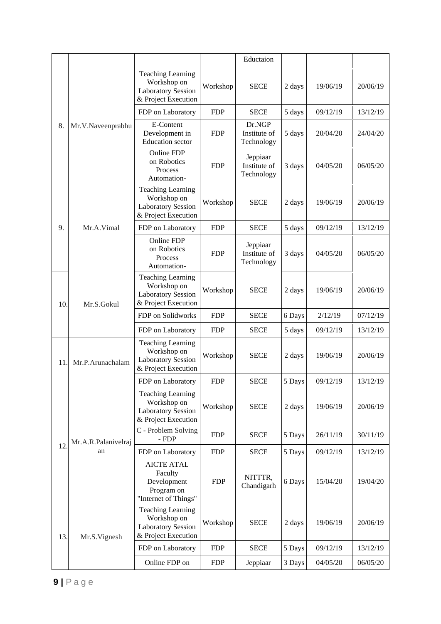|     |                     |                                                                                             |            | Eductaion                              |        |          |          |
|-----|---------------------|---------------------------------------------------------------------------------------------|------------|----------------------------------------|--------|----------|----------|
|     |                     | <b>Teaching Learning</b><br>Workshop on<br><b>Laboratory Session</b><br>& Project Execution | Workshop   | <b>SECE</b>                            | 2 days | 19/06/19 | 20/06/19 |
|     |                     | FDP on Laboratory                                                                           | <b>FDP</b> | <b>SECE</b>                            | 5 days | 09/12/19 | 13/12/19 |
| 8.  | Mr.V.Naveenprabhu   | E-Content<br>Development in<br><b>Education</b> sector                                      | <b>FDP</b> | Dr.NGP<br>Institute of<br>Technology   | 5 days | 20/04/20 | 24/04/20 |
|     |                     | Online FDP<br>on Robotics<br>Process<br>Automation-                                         | <b>FDP</b> | Jeppiaar<br>Institute of<br>Technology | 3 days | 04/05/20 | 06/05/20 |
|     |                     | <b>Teaching Learning</b><br>Workshop on<br><b>Laboratory Session</b><br>& Project Execution | Workshop   | <b>SECE</b>                            | 2 days | 19/06/19 | 20/06/19 |
| 9.  | Mr.A.Vimal          | FDP on Laboratory                                                                           | <b>FDP</b> | <b>SECE</b>                            | 5 days | 09/12/19 | 13/12/19 |
|     |                     | Online FDP<br>on Robotics<br>Process<br>Automation-                                         | <b>FDP</b> | Jeppiaar<br>Institute of<br>Technology | 3 days | 04/05/20 | 06/05/20 |
| 10. | Mr.S.Gokul          | <b>Teaching Learning</b><br>Workshop on<br><b>Laboratory Session</b><br>& Project Execution | Workshop   | <b>SECE</b>                            | 2 days | 19/06/19 | 20/06/19 |
|     |                     | FDP on Solidworks                                                                           | <b>FDP</b> | <b>SECE</b>                            | 6 Days | 2/12/19  | 07/12/19 |
|     |                     | FDP on Laboratory                                                                           | <b>FDP</b> | <b>SECE</b>                            | 5 days | 09/12/19 | 13/12/19 |
| 11  | Mr.P.Arunachalam    | <b>Teaching Learning</b><br>Workshop on<br><b>Laboratory Session</b><br>& Project Execution | Workshop   | <b>SECE</b>                            | 2 days | 19/06/19 | 20/06/19 |
|     |                     | FDP on Laboratory                                                                           | <b>FDP</b> | <b>SECE</b>                            | 5 Days | 09/12/19 | 13/12/19 |
|     |                     | <b>Teaching Learning</b><br>Workshop on<br><b>Laboratory Session</b><br>& Project Execution | Workshop   | <b>SECE</b>                            | 2 days | 19/06/19 | 20/06/19 |
|     | Mr.A.R.Palanivelraj | C - Problem Solving<br>$-FDP$                                                               | <b>FDP</b> | <b>SECE</b>                            | 5 Days | 26/11/19 | 30/11/19 |
| 12  | an                  | FDP on Laboratory                                                                           | <b>FDP</b> | <b>SECE</b>                            | 5 Days | 09/12/19 | 13/12/19 |
|     |                     | <b>AICTE ATAL</b><br>Faculty<br>Development<br>Program on<br>"Internet of Things"           | <b>FDP</b> | NITTTR,<br>Chandigarh                  | 6 Days | 15/04/20 | 19/04/20 |
| 13. | Mr.S.Vignesh        | <b>Teaching Learning</b><br>Workshop on<br><b>Laboratory Session</b><br>& Project Execution | Workshop   | <b>SECE</b>                            | 2 days | 19/06/19 | 20/06/19 |
|     |                     | FDP on Laboratory                                                                           | <b>FDP</b> | <b>SECE</b>                            | 5 Days | 09/12/19 | 13/12/19 |
|     |                     | Online FDP on                                                                               | <b>FDP</b> | Jeppiaar                               | 3 Days | 04/05/20 | 06/05/20 |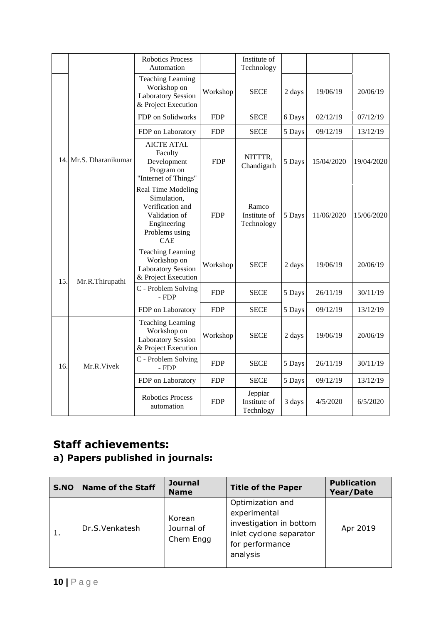|     |                        | <b>Robotics Process</b><br>Automation                                                                                 |            | Institute of<br>Technology           |        |            |            |
|-----|------------------------|-----------------------------------------------------------------------------------------------------------------------|------------|--------------------------------------|--------|------------|------------|
|     |                        | <b>Teaching Learning</b><br>Workshop on<br><b>Laboratory Session</b><br>& Project Execution                           | Workshop   | <b>SECE</b>                          | 2 days | 19/06/19   | 20/06/19   |
|     |                        | FDP on Solidworks                                                                                                     | <b>FDP</b> | <b>SECE</b>                          | 6 Days | 02/12/19   | 07/12/19   |
|     |                        | FDP on Laboratory                                                                                                     | <b>FDP</b> | <b>SECE</b>                          | 5 Days | 09/12/19   | 13/12/19   |
|     | 14. Mr.S. Dharanikumar | <b>AICTE ATAL</b><br>Faculty<br>Development<br>Program on<br>"Internet of Things"                                     | <b>FDP</b> | NITTTR,<br>Chandigarh                | 5 Days | 15/04/2020 | 19/04/2020 |
|     |                        | Real Time Modeling<br>Simulation,<br>Verification and<br>Validation of<br>Engineering<br>Problems using<br><b>CAE</b> | <b>FDP</b> | Ramco<br>Institute of<br>Technology  | 5 Days | 11/06/2020 | 15/06/2020 |
| 15. | Mr.R.Thirupathi        | <b>Teaching Learning</b><br>Workshop on<br><b>Laboratory Session</b><br>& Project Execution                           | Workshop   | <b>SECE</b>                          | 2 days | 19/06/19   | 20/06/19   |
|     |                        | C - Problem Solving<br>$-FDP$                                                                                         | <b>FDP</b> | <b>SECE</b>                          | 5 Days | 26/11/19   | 30/11/19   |
|     |                        | FDP on Laboratory                                                                                                     | <b>FDP</b> | <b>SECE</b>                          | 5 Days | 09/12/19   | 13/12/19   |
|     |                        | <b>Teaching Learning</b><br>Workshop on<br><b>Laboratory Session</b><br>& Project Execution                           | Workshop   | <b>SECE</b>                          | 2 days | 19/06/19   | 20/06/19   |
| 16. | Mr.R.Vivek             | C - Problem Solving<br>- FDP                                                                                          | <b>FDP</b> | <b>SECE</b>                          | 5 Days | 26/11/19   | 30/11/19   |
|     |                        | FDP on Laboratory                                                                                                     | <b>FDP</b> | <b>SECE</b>                          | 5 Days | 09/12/19   | 13/12/19   |
|     |                        | <b>Robotics Process</b><br>automation                                                                                 | <b>FDP</b> | Jeppiar<br>Institute of<br>Technlogy | 3 days | 4/5/2020   | 6/5/2020   |

## **Staff achievements:**

## **a) Papers published in journals:**

| S.NO | <b>Name of the Staff</b> | <b>Journal</b><br><b>Name</b>     | <b>Title of the Paper</b>                                                                                             | <b>Publication</b><br>Year/Date |
|------|--------------------------|-----------------------------------|-----------------------------------------------------------------------------------------------------------------------|---------------------------------|
|      | Dr.S.Venkatesh           | Korean<br>Journal of<br>Chem Engg | Optimization and<br>experimental<br>investigation in bottom<br>inlet cyclone separator<br>for performance<br>analysis | Apr 2019                        |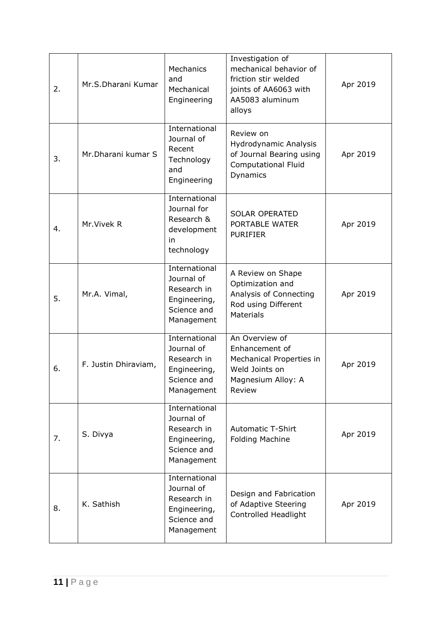| 2. | Mr.S.Dharani Kumar   | Mechanics<br>and<br>Mechanical<br>Engineering                                           | Investigation of<br>mechanical behavior of<br>friction stir welded<br>joints of AA6063 with<br>AA5083 aluminum<br>alloys | Apr 2019 |
|----|----------------------|-----------------------------------------------------------------------------------------|--------------------------------------------------------------------------------------------------------------------------|----------|
| 3. | Mr.Dharani kumar S   | International<br>Journal of<br>Recent<br>Technology<br>and<br>Engineering               | Review on<br>Hydrodynamic Analysis<br>of Journal Bearing using<br><b>Computational Fluid</b><br>Dynamics                 | Apr 2019 |
| 4. | Mr. Vivek R          | International<br>Journal for<br>Research &<br>development<br>in<br>technology           | <b>SOLAR OPERATED</b><br>PORTABLE WATER<br><b>PURIFIER</b>                                                               | Apr 2019 |
| 5. | Mr.A. Vimal,         | International<br>Journal of<br>Research in<br>Engineering,<br>Science and<br>Management | A Review on Shape<br>Optimization and<br>Analysis of Connecting<br>Rod using Different<br><b>Materials</b>               | Apr 2019 |
| 6. | F. Justin Dhiraviam, | International<br>Journal of<br>Research in<br>Engineering,<br>Science and<br>Management | An Overview of<br>Enhancement of<br>Mechanical Properties in<br>Weld Joints on<br>Magnesium Alloy: A<br>Review           | Apr 2019 |
| 7. | S. Divya             | International<br>Journal of<br>Research in<br>Engineering,<br>Science and<br>Management | <b>Automatic T-Shirt</b><br><b>Folding Machine</b>                                                                       | Apr 2019 |
| 8. | K. Sathish           | International<br>Journal of<br>Research in<br>Engineering,<br>Science and<br>Management | Design and Fabrication<br>of Adaptive Steering<br>Controlled Headlight                                                   | Apr 2019 |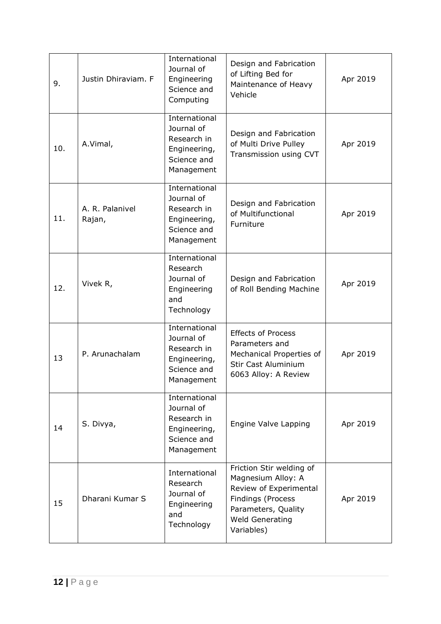| 9.  | Justin Dhiraviam. F       | International<br>Journal of<br>Engineering<br>Science and<br>Computing                  | Design and Fabrication<br>of Lifting Bed for<br>Maintenance of Heavy<br>Vehicle                                                                              | Apr 2019 |
|-----|---------------------------|-----------------------------------------------------------------------------------------|--------------------------------------------------------------------------------------------------------------------------------------------------------------|----------|
| 10. | A.Vimal,                  | International<br>Journal of<br>Research in<br>Engineering,<br>Science and<br>Management | Design and Fabrication<br>of Multi Drive Pulley<br>Transmission using CVT                                                                                    | Apr 2019 |
| 11. | A. R. Palanivel<br>Rajan, | International<br>Journal of<br>Research in<br>Engineering,<br>Science and<br>Management | Design and Fabrication<br>of Multifunctional<br>Furniture                                                                                                    | Apr 2019 |
| 12. | Vivek R,                  | International<br>Research<br>Journal of<br>Engineering<br>and<br>Technology             | Design and Fabrication<br>of Roll Bending Machine                                                                                                            | Apr 2019 |
| 13  | P. Arunachalam            | International<br>Journal of<br>Research in<br>Engineering,<br>Science and<br>Management | <b>Effects of Process</b><br>Parameters and<br>Mechanical Properties of<br>Stir Cast Aluminium<br>6063 Alloy: A Review                                       | Apr 2019 |
| 14  | S. Divya,                 | International<br>Journal of<br>Research in<br>Engineering,<br>Science and<br>Management | Engine Valve Lapping                                                                                                                                         | Apr 2019 |
| 15  | Dharani Kumar S           | International<br>Research<br>Journal of<br>Engineering<br>and<br>Technology             | Friction Stir welding of<br>Magnesium Alloy: A<br>Review of Experimental<br>Findings (Process<br>Parameters, Quality<br><b>Weld Generating</b><br>Variables) | Apr 2019 |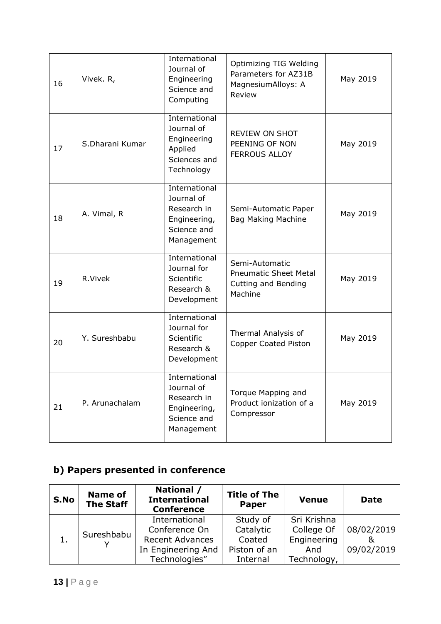| 16 | Vivek. R,       | International<br>Journal of<br>Engineering<br>Science and<br>Computing                  | Optimizing TIG Welding<br>Parameters for AZ31B<br>MagnesiumAlloys: A<br>Review   | May 2019 |
|----|-----------------|-----------------------------------------------------------------------------------------|----------------------------------------------------------------------------------|----------|
| 17 | S.Dharani Kumar | International<br>Journal of<br>Engineering<br>Applied<br>Sciences and<br>Technology     | <b>REVIEW ON SHOT</b><br>PEENING OF NON<br><b>FERROUS ALLOY</b>                  | May 2019 |
| 18 | A. Vimal, R     | International<br>Journal of<br>Research in<br>Engineering,<br>Science and<br>Management | Semi-Automatic Paper<br><b>Bag Making Machine</b>                                | May 2019 |
| 19 | R.Vivek         | International<br>Journal for<br>Scientific<br>Research &<br>Development                 | Semi-Automatic<br><b>Pneumatic Sheet Metal</b><br>Cutting and Bending<br>Machine | May 2019 |
| 20 | Y. Sureshbabu   | International<br>Journal for<br>Scientific<br>Research &<br>Development                 | Thermal Analysis of<br>Copper Coated Piston                                      | May 2019 |
| 21 | P. Arunachalam  | International<br>Journal of<br>Research in<br>Engineering,<br>Science and<br>Management | Torque Mapping and<br>Product ionization of a<br>Compressor                      | May 2019 |

## **b) Papers presented in conference**

| S.No          | <b>Name of</b><br><b>The Staff</b> | National /<br><b>International</b><br><b>Conference</b>                                         | <b>Title of The</b><br><b>Paper</b>                         | <b>Venue</b>                                                   | <b>Date</b>              |
|---------------|------------------------------------|-------------------------------------------------------------------------------------------------|-------------------------------------------------------------|----------------------------------------------------------------|--------------------------|
| $\mathbf 1$ . | Sureshbabu                         | International<br>Conference On<br><b>Recent Advances</b><br>In Engineering And<br>Technologies" | Study of<br>Catalytic<br>Coated<br>Piston of an<br>Internal | Sri Krishna<br>College Of<br>Engineering<br>And<br>Technology, | 08/02/2019<br>09/02/2019 |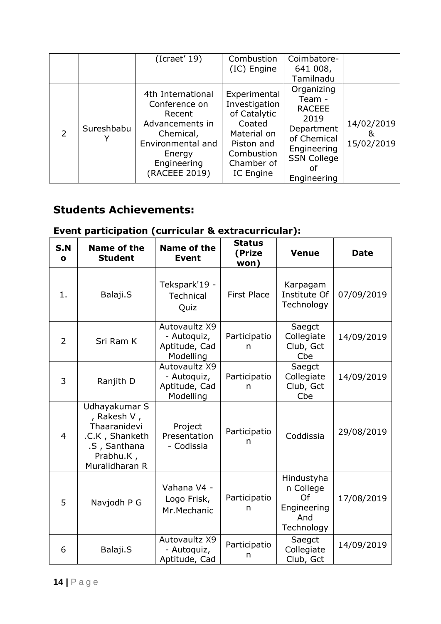|                |            | (Icraet' 19)                                                                                                                                | Combustion<br>(IC) Engine                                                                                                            | Coimbatore-<br>641 008,<br>Tamilnadu                                                                                                 |                               |
|----------------|------------|---------------------------------------------------------------------------------------------------------------------------------------------|--------------------------------------------------------------------------------------------------------------------------------------|--------------------------------------------------------------------------------------------------------------------------------------|-------------------------------|
| $\overline{2}$ | Sureshbabu | 4th International<br>Conference on<br>Recent<br>Advancements in<br>Chemical,<br>Environmental and<br>Energy<br>Engineering<br>(RACEEE 2019) | Experimental<br>Investigation<br>of Catalytic<br>Coated<br>Material on<br>Piston and<br>Combustion<br>Chamber of<br><b>IC</b> Engine | Organizing<br>Team -<br><b>RACEEE</b><br>2019<br>Department<br>of Chemical<br>Engineering<br><b>SSN College</b><br>of<br>Engineering | 14/02/2019<br>&<br>15/02/2019 |

## **Students Achievements:**

## **Event participation (curricular & extracurricular):**

| S.N<br>$\mathbf{o}$ | <b>Name of the</b><br><b>Student</b>                                                                          | <b>Name of the</b><br><b>Event</b>                         | <b>Status</b><br>(Prize<br>won) | <b>Venue</b>                                                      | <b>Date</b> |
|---------------------|---------------------------------------------------------------------------------------------------------------|------------------------------------------------------------|---------------------------------|-------------------------------------------------------------------|-------------|
| 1.                  | Balaji.S                                                                                                      | Tekspark'19 -<br><b>Technical</b><br>Quiz                  | <b>First Place</b>              | Karpagam<br>Institute Of<br>Technology                            | 07/09/2019  |
| $\overline{2}$      | Sri Ram K                                                                                                     | Autovaultz X9<br>- Autoquiz,<br>Aptitude, Cad<br>Modelling | Participatio<br>n               | Saegct<br>Collegiate<br>Club, Gct<br>Cbe                          | 14/09/2019  |
| 3                   | Ranjith D                                                                                                     | Autovaultz X9<br>- Autoquiz,<br>Aptitude, Cad<br>Modelling | Participatio<br>n               | Saegct<br>Collegiate<br>Club, Gct<br>Cbe                          | 14/09/2019  |
| $\overline{4}$      | Udhayakumar S<br>, Rakesh V,<br>Thaaranidevi<br>.C.K, Shanketh<br>.S, Santhana<br>Prabhu.K,<br>Muralidharan R | Project<br>Presentation<br>- Codissia                      | Participatio<br>n               | Coddissia                                                         | 29/08/2019  |
| 5                   | Navjodh P G                                                                                                   | Vahana V4 -<br>Logo Frisk,<br>Mr.Mechanic                  | Participatio<br>n               | Hindustyha<br>n College<br>Of<br>Engineering<br>And<br>Technology | 17/08/2019  |
| 6                   | Balaji.S                                                                                                      | Autovaultz X9<br>- Autoquiz,<br>Aptitude, Cad              | Participatio<br>n               | Saegct<br>Collegiate<br>Club, Gct                                 | 14/09/2019  |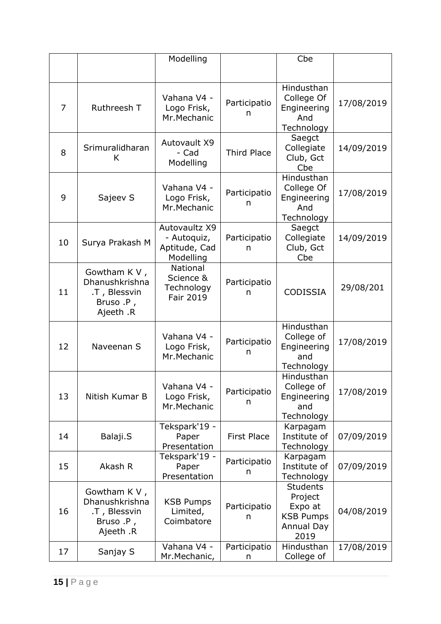|    |                                                                          | Modelling                                                  |                    | Cbe                                                                                    |            |
|----|--------------------------------------------------------------------------|------------------------------------------------------------|--------------------|----------------------------------------------------------------------------------------|------------|
|    |                                                                          |                                                            |                    |                                                                                        |            |
| 7  | Ruthreesh T                                                              | Vahana V4 -<br>Logo Frisk,<br>Mr.Mechanic                  | Participatio<br>n  | Hindusthan<br>College Of<br>Engineering<br>And<br>Technology                           | 17/08/2019 |
| 8  | Srimuralidharan<br>K                                                     | Autovault X9<br>- Cad<br>Modelling                         | <b>Third Place</b> | Saegct<br>Collegiate<br>Club, Gct<br>Cbe                                               | 14/09/2019 |
| 9  | Sajeev S                                                                 | Vahana V4 -<br>Logo Frisk,<br>Mr.Mechanic                  | Participatio<br>n  | Hindusthan<br>College Of<br>Engineering<br>And<br>Technology                           | 17/08/2019 |
| 10 | Surya Prakash M                                                          | Autovaultz X9<br>- Autoquiz,<br>Aptitude, Cad<br>Modelling | Participatio<br>n  | Saegct<br>Collegiate<br>Club, Gct<br>Cbe                                               | 14/09/2019 |
| 11 | Gowtham K V,<br>Dhanushkrishna<br>.T, Blessvin<br>Bruso .P,<br>Ajeeth .R | National<br>Science &<br>Technology<br>Fair 2019           | Participatio<br>n  | <b>CODISSIA</b>                                                                        | 29/08/201  |
| 12 | Naveenan S                                                               | Vahana V4 -<br>Logo Frisk,<br>Mr.Mechanic                  | Participatio<br>n  | Hindusthan<br>College of<br>Engineering<br>and<br>Technology                           | 17/08/2019 |
| 13 | Nitish Kumar B                                                           | Vahana V4 -<br>Logo Frisk,<br>Mr.Mechanic                  | Participatio<br>n  | Hindusthan<br>College of<br>Engineering<br>and<br>Technology                           | 17/08/2019 |
| 14 | Balaji.S                                                                 | Tekspark'19 -<br>Paper<br>Presentation                     | <b>First Place</b> | Karpagam<br>Institute of<br>Technology                                                 | 07/09/2019 |
| 15 | Akash R                                                                  | Tekspark'19 -<br>Paper<br>Presentation                     | Participatio<br>n  | Karpagam<br>Institute of<br>Technology                                                 | 07/09/2019 |
| 16 | Gowtham K V,<br>Dhanushkrishna<br>.T, Blessvin<br>Bruso .P,<br>Ajeeth .R | <b>KSB Pumps</b><br>Limited,<br>Coimbatore                 | Participatio<br>n  | <b>Students</b><br>Project<br>Expo at<br><b>KSB Pumps</b><br><b>Annual Day</b><br>2019 | 04/08/2019 |
| 17 | Sanjay S                                                                 | Vahana V4 -<br>Mr.Mechanic,                                | Participatio<br>n  | Hindusthan<br>College of                                                               | 17/08/2019 |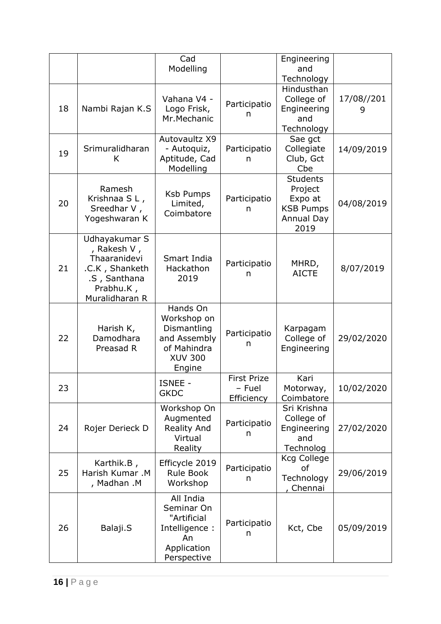|    |                                                                                                               | Cad<br>Modelling                                                                                  |                                            | Engineering<br>and<br>Technology                                                       |                 |
|----|---------------------------------------------------------------------------------------------------------------|---------------------------------------------------------------------------------------------------|--------------------------------------------|----------------------------------------------------------------------------------------|-----------------|
| 18 | Nambi Rajan K.S                                                                                               | Vahana V4 -<br>Logo Frisk,<br>Mr.Mechanic                                                         | Participatio<br>n                          | Hindusthan<br>College of<br>Engineering<br>and<br>Technology                           | 17/08//201<br>9 |
| 19 | Srimuralidharan<br>K                                                                                          | Autovaultz X9<br>- Autoquiz,<br>Aptitude, Cad<br>Modelling                                        | Participatio<br>n                          | Sae gct<br>Collegiate<br>Club, Gct<br>Cbe                                              | 14/09/2019      |
| 20 | Ramesh<br>Krishnaa SL,<br>Sreedhar V,<br>Yogeshwaran K                                                        | <b>Ksb Pumps</b><br>Limited,<br>Coimbatore                                                        | Participatio<br>n                          | <b>Students</b><br>Project<br>Expo at<br><b>KSB Pumps</b><br><b>Annual Day</b><br>2019 | 04/08/2019      |
| 21 | Udhayakumar S<br>, Rakesh V,<br>Thaaranidevi<br>.C.K, Shanketh<br>.S, Santhana<br>Prabhu.K,<br>Muralidharan R | Smart India<br>Hackathon<br>2019                                                                  | Participatio<br>n                          | MHRD,<br><b>AICTE</b>                                                                  | 8/07/2019       |
| 22 | Harish K,<br>Damodhara<br>Preasad R                                                                           | Hands On<br>Workshop on<br>Dismantling<br>and Assembly<br>of Mahindra<br><b>XUV 300</b><br>Engine | Participatio<br>n                          | Karpagam<br>College of<br>Engineering                                                  | 29/02/2020      |
| 23 |                                                                                                               | ISNEE -<br><b>GKDC</b>                                                                            | <b>First Prize</b><br>- Fuel<br>Efficiency | Kari<br>Motorway,<br>Coimbatore                                                        | 10/02/2020      |
| 24 | Rojer Derieck D                                                                                               | Workshop On<br>Augmented<br><b>Reality And</b><br>Virtual<br>Reality                              | Participatio<br>n                          | Sri Krishna<br>College of<br>Engineering<br>and<br>Technolog                           | 27/02/2020      |
| 25 | Karthik.B,<br>Harish Kumar .M<br>, Madhan .M                                                                  | Efficycle 2019<br><b>Rule Book</b><br>Workshop                                                    | Participatio<br>n                          | <b>Kcg College</b><br>of<br>Technology<br>Chennai                                      | 29/06/2019      |
| 26 | Balaji.S                                                                                                      | All India<br>Seminar On<br>"Artificial<br>Intelligence:<br>An<br>Application<br>Perspective       | Participatio<br>n                          | Kct, Cbe                                                                               | 05/09/2019      |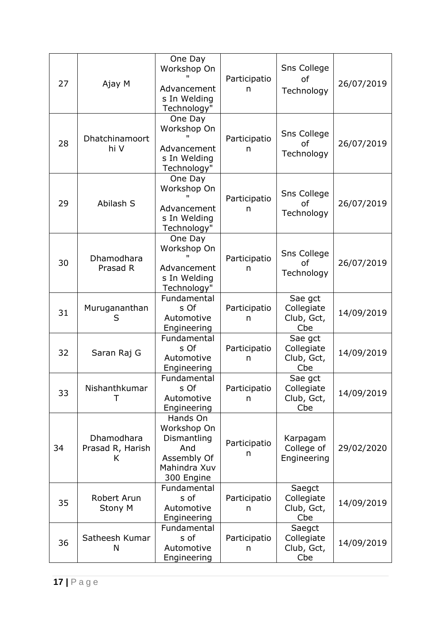| 27                                        | Ajay M                        | One Day<br>Workshop On<br>Advancement<br>s In Welding<br>Technology"                       | Participatio<br>n | <b>Sns College</b><br><b>of</b><br>Technology | 26/07/2019 |
|-------------------------------------------|-------------------------------|--------------------------------------------------------------------------------------------|-------------------|-----------------------------------------------|------------|
| 28                                        | Dhatchinamoort<br>hi V        | One Day<br>Workshop On<br>Advancement<br>s In Welding<br>Technology"                       | Participatio<br>n | Sns College<br>of<br>Technology               | 26/07/2019 |
| 29                                        | Abilash S                     | One Day<br>Workshop On<br>Advancement<br>s In Welding<br>Technology"                       | Participatio<br>n | Sns College<br>of<br>Technology               | 26/07/2019 |
| 30                                        | Dhamodhara<br>Prasad R        | One Day<br>Workshop On<br>Advancement<br>s In Welding<br>Technology"                       | Participatio<br>n | Sns College<br>οf<br>Technology               | 26/07/2019 |
| 31                                        | Murugananthan<br>S            | Fundamental<br>s Of<br>Automotive<br>Engineering                                           | Participatio<br>n | Sae gct<br>Collegiate<br>Club, Gct,<br>Cbe    | 14/09/2019 |
| 32                                        | Saran Raj G                   | Fundamental<br>s Of<br>Automotive<br>Engineering                                           | Participatio<br>n | Sae gct<br>Collegiate<br>Club, Gct,<br>Cbe    | 14/09/2019 |
| 33                                        | Nishanthkumar<br>т            | Fundamental<br>s Of<br>Automotive<br>Engineering                                           | Participatio<br>n | Sae gct<br>Collegiate<br>Club, Gct,<br>Cbe    | 14/09/2019 |
| Dhamodhara<br>34<br>Prasad R, Harish<br>K |                               | Hands On<br>Workshop On<br>Dismantling<br>And<br>Assembly Of<br>Mahindra Xuv<br>300 Engine | Participatio<br>n | Karpagam<br>College of<br>Engineering         | 29/02/2020 |
| 35                                        | Robert Arun<br><b>Stony M</b> | Fundamental<br>s of<br>Automotive<br>Engineering                                           | Participatio<br>n | Saegct<br>Collegiate<br>Club, Gct,<br>Cbe     | 14/09/2019 |
| 36                                        | Satheesh Kumar<br>N           | Fundamental<br>s of<br>Automotive<br>Engineering                                           | Participatio<br>n | Saegct<br>Collegiate<br>Club, Gct,<br>Cbe     | 14/09/2019 |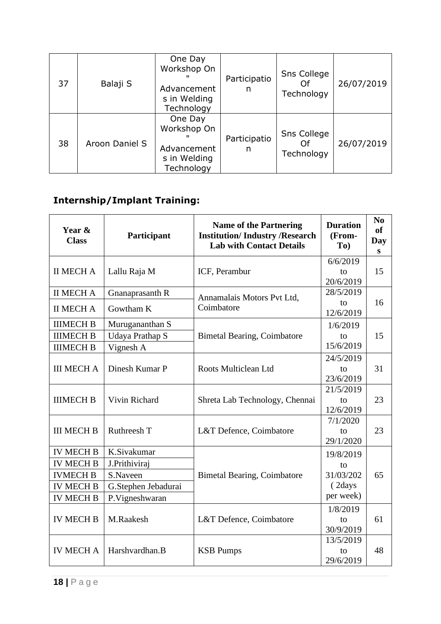| 37 | Balaji S       | One Day<br>Workshop On<br>Advancement<br>s in Welding<br>Technology | Participatio<br>n | Sns College<br>Technology       | 26/07/2019 |
|----|----------------|---------------------------------------------------------------------|-------------------|---------------------------------|------------|
| 38 | Aroon Daniel S | One Day<br>Workshop On<br>Advancement<br>s in Welding<br>Technology | Participatio<br>n | Sns College<br>Ωf<br>Technology | 26/07/2019 |

## **Internship/Implant Training:**

| Year &<br><b>Class</b> | Participant            | <b>Name of the Partnering</b><br><b>Institution/Industry/Research</b><br><b>Lab with Contact Details</b> | <b>Duration</b><br>(From-<br>To) | N <sub>0</sub><br><b>of</b><br><b>Day</b><br>S |
|------------------------|------------------------|----------------------------------------------------------------------------------------------------------|----------------------------------|------------------------------------------------|
|                        |                        |                                                                                                          | 6/6/2019                         |                                                |
| <b>II MECH A</b>       | Lallu Raja M           | ICF, Perambur                                                                                            | to<br>20/6/2019                  | 15                                             |
| <b>II MECH A</b>       | Gnanaprasanth R        | Annamalais Motors Pvt Ltd,                                                                               | 28/5/2019                        |                                                |
| <b>II MECH A</b>       | Gowtham K              | Coimbatore                                                                                               | to<br>12/6/2019                  | 16                                             |
| <b>IIIMECH B</b>       | Murugananthan S        |                                                                                                          | 1/6/2019                         |                                                |
| <b>IIIMECH B</b>       | <b>Udaya Prathap S</b> | <b>Bimetal Bearing, Coimbatore</b>                                                                       | to                               | 15                                             |
| <b>IIIMECH B</b>       | Vignesh A              |                                                                                                          | 15/6/2019                        |                                                |
|                        |                        |                                                                                                          | 24/5/2019                        |                                                |
| <b>III MECH A</b>      | Dinesh Kumar P         | Roots Multiclean Ltd                                                                                     | to                               | 31                                             |
|                        |                        |                                                                                                          | 23/6/2019                        |                                                |
| <b>IIIMECH B</b>       | Vivin Richard          |                                                                                                          | 21/5/2019                        | 23                                             |
|                        |                        | Shreta Lab Technology, Chennai                                                                           | to<br>12/6/2019                  |                                                |
|                        |                        | 7/1/2020                                                                                                 |                                  |                                                |
| <b>III MECH B</b>      | Ruthreesh T            | L&T Defence, Coimbatore                                                                                  | to                               | 23                                             |
|                        |                        |                                                                                                          | 29/1/2020                        |                                                |
| <b>IV MECH B</b>       | K.Sivakumar            |                                                                                                          | 19/8/2019                        |                                                |
| <b>IV MECH B</b>       | J.Prithiviraj          |                                                                                                          | to                               |                                                |
| <b>IVMECH B</b>        | S.Naveen               | <b>Bimetal Bearing, Coimbatore</b>                                                                       | 31/03/202                        | 65                                             |
| <b>IV MECH B</b>       | G.Stephen Jebadurai    |                                                                                                          | (2days                           |                                                |
| <b>IV MECH B</b>       | P.Vigneshwaran         |                                                                                                          | per week)                        |                                                |
|                        |                        |                                                                                                          | 1/8/2019                         |                                                |
| <b>IV MECH B</b>       | M.Raakesh              | L&T Defence, Coimbatore                                                                                  | to                               | 61                                             |
|                        |                        |                                                                                                          | 30/9/2019                        |                                                |
|                        |                        |                                                                                                          | 13/5/2019                        |                                                |
| <b>IV MECH A</b>       | Harshvardhan.B         | <b>KSB Pumps</b>                                                                                         | to                               | 48                                             |
|                        |                        |                                                                                                          | 29/6/2019                        |                                                |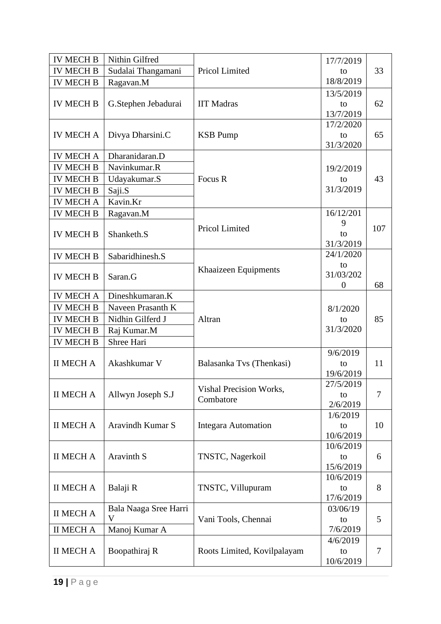| <b>IV MECH B</b> | Nithin Gilfred        |                             | 17/7/2019        |     |
|------------------|-----------------------|-----------------------------|------------------|-----|
| <b>IV MECH B</b> | Sudalai Thangamani    | Pricol Limited              | to               | 33  |
| <b>IV MECH B</b> | Ragavan.M             |                             | 18/8/2019        |     |
|                  |                       |                             | 13/5/2019        |     |
| <b>IV MECH B</b> | G.Stephen Jebadurai   | <b>IIT Madras</b>           | to               | 62  |
|                  |                       |                             | 13/7/2019        |     |
|                  |                       |                             | 17/2/2020        |     |
| <b>IV MECH A</b> | Divya Dharsini.C      | <b>KSB</b> Pump             | to               | 65  |
| <b>IV MECH A</b> | Dharanidaran.D        |                             | 31/3/2020        |     |
| <b>IV MECH B</b> | Navinkumar.R          |                             |                  |     |
|                  |                       | Focus R                     | 19/2/2019        | 43  |
| <b>IV MECH B</b> | Udayakumar.S          |                             | to<br>31/3/2019  |     |
| <b>IV MECH B</b> | Saji.S                |                             |                  |     |
| <b>IV MECH A</b> | Kavin.Kr              |                             |                  |     |
| <b>IV MECH B</b> | Ragavan.M             |                             | 16/12/201        |     |
| <b>IV MECH B</b> |                       | Pricol Limited              | 9<br>to          | 107 |
|                  | Shanketh.S            |                             | 31/3/2019        |     |
| <b>IV MECH B</b> | Sabaridhinesh.S       |                             | 24/1/2020        |     |
|                  |                       |                             | to               |     |
| <b>IV MECH B</b> | Saran.G               | Khaaizeen Equipments        | 31/03/202        |     |
|                  |                       |                             | $\boldsymbol{0}$ | 68  |
| <b>IV MECH A</b> | Dineshkumaran.K       |                             |                  |     |
| <b>IV MECH B</b> | Naveen Prasanth K     |                             | 8/1/2020         |     |
| <b>IV MECH B</b> | Nidhin Gilferd J      | Altran                      | to               | 85  |
| <b>IV MECH B</b> | Raj Kumar.M           |                             | 31/3/2020        |     |
| <b>IV MECH B</b> | Shree Hari            |                             |                  |     |
|                  |                       |                             | 9/6/2019         |     |
| <b>II MECH A</b> | Akashkumar V          | Balasanka Tvs (Thenkasi)    | to               | 11  |
|                  |                       |                             | 19/6/2019        |     |
|                  |                       | Vishal Precision Works,     | 27/5/2019        |     |
| <b>II MECH A</b> | Allwyn Joseph S.J     | Combatore                   | to               | 7   |
|                  |                       |                             | 2/6/2019         |     |
| <b>II MECH A</b> | Aravindh Kumar S      | <b>Integara Automation</b>  | 1/6/2019<br>to   | 10  |
|                  |                       |                             | 10/6/2019        |     |
|                  |                       |                             | 10/6/2019        |     |
| <b>II MECH A</b> | Aravinth S            | TNSTC, Nagerkoil            | to               | 6   |
|                  |                       |                             | 15/6/2019        |     |
|                  |                       |                             | 10/6/2019        |     |
| <b>II MECH A</b> | Balaji R              | TNSTC, Villupuram           | to               | 8   |
|                  |                       |                             | 17/6/2019        |     |
| <b>II MECH A</b> | Bala Naaga Sree Harri |                             | 03/06/19         |     |
|                  | V                     | Vani Tools, Chennai         | to               | 5   |
| <b>II MECH A</b> | Manoj Kumar A         |                             | 7/6/2019         |     |
|                  |                       |                             | 4/6/2019         |     |
| <b>II MECH A</b> | Boopathiraj R         | Roots Limited, Kovilpalayam | to               | 7   |
|                  |                       |                             | 10/6/2019        |     |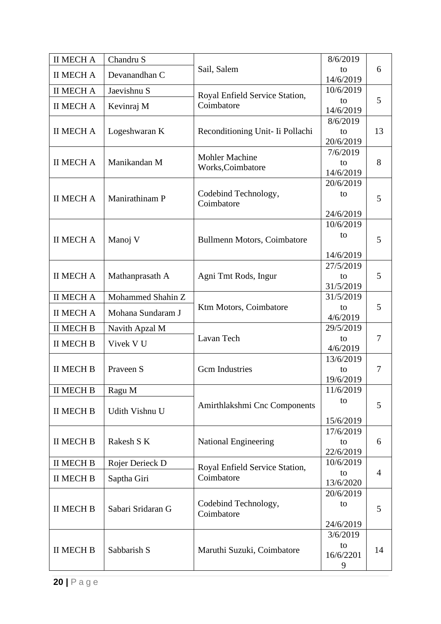| <b>II MECH A</b> | Chandru S         |                                            | 8/6/2019               |                |  |
|------------------|-------------------|--------------------------------------------|------------------------|----------------|--|
| <b>II MECH A</b> | Devanandhan C     | Sail, Salem                                | to<br>14/6/2019        | 6              |  |
| <b>II MECH A</b> | Jaevishnu S       | Royal Enfield Service Station,             | 10/6/2019              |                |  |
| <b>II MECH A</b> | Kevinraj M        | Coimbatore                                 | to                     | 5              |  |
|                  |                   |                                            | 14/6/2019              |                |  |
| <b>II MECH A</b> | Logeshwaran K     | Reconditioning Unit- Ii Pollachi           | 8/6/2019<br>to         | 13             |  |
|                  |                   |                                            | 20/6/2019              |                |  |
|                  |                   |                                            | 7/6/2019               |                |  |
| <b>II MECH A</b> | Manikandan M      | <b>Mohler Machine</b><br>Works, Coimbatore | to                     | 8              |  |
|                  |                   |                                            | 14/6/2019              |                |  |
|                  |                   |                                            | 20/6/2019              |                |  |
| <b>II MECH A</b> | Manirathinam P    | Codebind Technology,<br>Coimbatore         | to                     | 5              |  |
|                  |                   |                                            | 24/6/2019              |                |  |
|                  |                   |                                            | 10/6/2019              |                |  |
| <b>II MECH A</b> | Manoj V           | <b>Bullmenn Motors, Coimbatore</b>         | to                     | 5              |  |
|                  |                   |                                            |                        |                |  |
|                  |                   |                                            | 14/6/2019              |                |  |
| <b>II MECH A</b> | Mathanprasath A   | Agni Tmt Rods, Ingur                       | 27/5/2019<br>to        | 5              |  |
|                  |                   |                                            | 31/5/2019              |                |  |
| <b>II MECH A</b> | Mohammed Shahin Z |                                            | 31/5/2019              |                |  |
| <b>II MECH A</b> | Mohana Sundaram J | Ktm Motors, Coimbatore                     | to                     | 5              |  |
|                  |                   |                                            | 4/6/2019               |                |  |
| <b>II MECH B</b> | Navith Apzal M    |                                            | 29/5/2019              |                |  |
| <b>II MECH B</b> | Vivek V U         | Lavan Tech                                 | to<br>4/6/2019         | $\overline{7}$ |  |
|                  |                   |                                            | 13/6/2019              |                |  |
| <b>II MECH B</b> | Praveen S         | <b>Gcm</b> Industries                      | to                     | 7              |  |
|                  |                   |                                            | 19/6/2019              |                |  |
| <b>II MECH B</b> | Ragu M            |                                            | 11/6/2019              |                |  |
|                  |                   | Amirthlakshmi Cnc Components               | to                     | 5              |  |
| <b>II MECH B</b> | Udith Vishnu U    |                                            | 15/6/2019              |                |  |
|                  |                   |                                            | 17/6/2019              |                |  |
| <b>II MECH B</b> | Rakesh S K        | <b>National Engineering</b>                | to                     | 6              |  |
|                  |                   |                                            | 22/6/2019              |                |  |
| <b>II MECH B</b> | Rojer Derieck D   | Royal Enfield Service Station,             | 10/6/2019              |                |  |
| <b>II MECH B</b> | Saptha Giri       | Coimbatore                                 | to                     | $\overline{4}$ |  |
|                  |                   |                                            | 13/6/2020<br>20/6/2019 |                |  |
|                  |                   | Codebind Technology,                       | to                     |                |  |
| <b>II MECH B</b> | Sabari Sridaran G | Coimbatore                                 |                        | 5              |  |
|                  |                   |                                            | 24/6/2019              |                |  |
|                  |                   |                                            | 3/6/2019               |                |  |
| <b>II MECH B</b> | Sabbarish S       | Maruthi Suzuki, Coimbatore                 | to<br>16/6/2201        | 14             |  |
|                  |                   |                                            | 9                      |                |  |
|                  |                   |                                            |                        |                |  |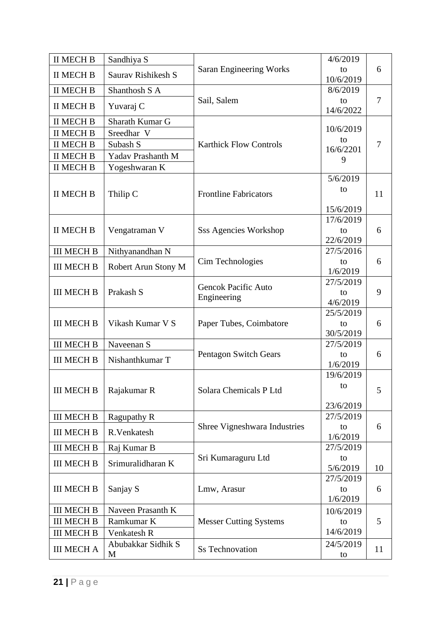| <b>II MECH B</b>  | Sandhiya S              |                                           | 4/6/2019                     |        |
|-------------------|-------------------------|-------------------------------------------|------------------------------|--------|
| <b>II MECH B</b>  | Sauray Rishikesh S      | <b>Saran Engineering Works</b>            | to<br>10/6/2019              | 6      |
| <b>II MECH B</b>  | Shanthosh S A           |                                           | 8/6/2019                     |        |
| <b>II MECH B</b>  | Yuvaraj C               | Sail, Salem                               | to<br>14/6/2022              | $\tau$ |
| <b>II MECH B</b>  | Sharath Kumar G         |                                           |                              |        |
| <b>II MECH B</b>  | Sreedhar V              |                                           | 10/6/2019                    |        |
| <b>II MECH B</b>  | Subash S                | <b>Karthick Flow Controls</b>             | to<br>16/6/2201              | 7      |
| <b>II MECH B</b>  | Yadav Prashanth M       |                                           | 9                            |        |
| <b>II MECH B</b>  | Yogeshwaran K           |                                           |                              |        |
| <b>II MECH B</b>  | Thilip C                | <b>Frontline Fabricators</b>              | 5/6/2019<br>to               | 11     |
|                   |                         |                                           | 15/6/2019<br>17/6/2019       |        |
| <b>II MECH B</b>  | Vengatraman V           | <b>Sss Agencies Workshop</b>              | to<br>22/6/2019              | 6      |
| <b>III MECH B</b> | Nithyanandhan N         |                                           | 27/5/2016                    |        |
| <b>III MECH B</b> | Robert Arun Stony M     | Cim Technologies                          | to<br>1/6/2019               | 6      |
|                   |                         |                                           | 27/5/2019                    |        |
| <b>III MECH B</b> | Prakash S               | <b>Gencok Pacific Auto</b><br>Engineering | to<br>4/6/2019               | 9      |
| <b>III MECH B</b> | Vikash Kumar V S        | Paper Tubes, Coimbatore                   | 25/5/2019<br>to<br>30/5/2019 | 6      |
| <b>III MECH B</b> | Naveenan S              |                                           | 27/5/2019                    |        |
| <b>III MECH B</b> | Nishanthkumar T         | Pentagon Switch Gears                     | to<br>1/6/2019               | 6      |
| <b>III MECH B</b> | Rajakumar R             | Solara Chemicals P Ltd                    | 19/6/2019<br>to<br>23/6/2019 | 5      |
| <b>III MECH B</b> | Ragupathy R             |                                           | 27/5/2019                    |        |
| <b>III MECH B</b> | R.Venkatesh             | Shree Vigneshwara Industries              | to<br>1/6/2019               | 6      |
| <b>III MECH B</b> | Raj Kumar B             |                                           | 27/5/2019                    |        |
| <b>III MECH B</b> | Srimuralidharan K       | Sri Kumaraguru Ltd                        | to<br>5/6/2019               | 10     |
| <b>III MECH B</b> | Sanjay S                | Lmw, Arasur                               | 27/5/2019<br>to<br>1/6/2019  | 6      |
| <b>III MECH B</b> | Naveen Prasanth K       |                                           | 10/6/2019                    |        |
| <b>III MECH B</b> | Ramkumar K              | <b>Messer Cutting Systems</b>             | to                           | 5      |
| <b>III MECH B</b> | Venkatesh R             |                                           | 14/6/2019                    |        |
| <b>III MECH A</b> | Abubakkar Sidhik S<br>M | <b>Ss Technovation</b>                    | 24/5/2019<br>to              | 11     |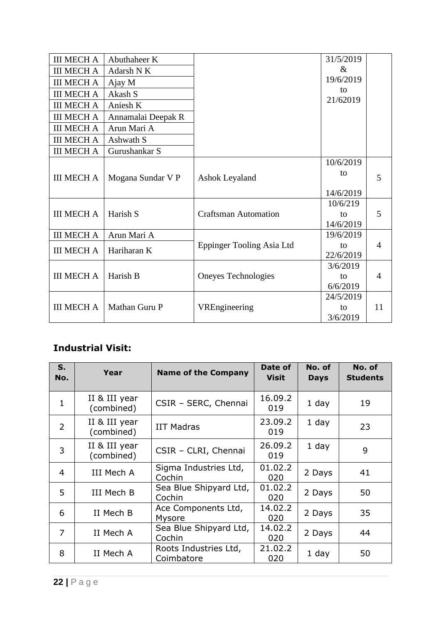| <b>III MECH A</b> | Abuthaheer K       |                             | 31/5/2019 |                |
|-------------------|--------------------|-----------------------------|-----------|----------------|
| <b>III MECH A</b> | Adarsh N K         |                             | $\&$      |                |
| <b>III MECH A</b> | Ajay M             |                             | 19/6/2019 |                |
| <b>III MECH A</b> | Akash S            |                             | to        |                |
| <b>III MECH A</b> | Aniesh K           |                             | 21/62019  |                |
| <b>III MECH A</b> | Annamalai Deepak R |                             |           |                |
| <b>III MECH A</b> | Arun Mari A        |                             |           |                |
| <b>III MECH A</b> | Ashwath S          |                             |           |                |
| <b>III MECH A</b> | Gurushankar S      |                             |           |                |
|                   |                    |                             | 10/6/2019 |                |
| <b>III MECH A</b> | Mogana Sundar V P  | <b>Ashok Leyaland</b>       | to        | 5              |
|                   |                    |                             |           |                |
|                   |                    |                             | 14/6/2019 |                |
|                   |                    |                             | 10/6/219  |                |
| <b>III MECH A</b> | Harish S           | <b>Craftsman Automation</b> | to        | 5              |
|                   |                    |                             | 14/6/2019 |                |
| <b>III MECH A</b> | Arun Mari A        |                             | 19/6/2019 |                |
| <b>III MECH A</b> | Hariharan K        | Eppinger Tooling Asia Ltd   | to        | $\overline{4}$ |
|                   |                    |                             | 22/6/2019 |                |
|                   |                    |                             | 3/6/2019  |                |
| <b>III MECH A</b> | Harish B           | Oneyes Technologies         | to        | $\overline{4}$ |
|                   |                    |                             | 6/6/2019  |                |
|                   |                    |                             | 24/5/2019 |                |
| <b>III MECH A</b> | Mathan Guru P      | VREngineering               | to        | 11             |
|                   |                    |                             | 3/6/2019  |                |

## **Industrial Visit:**

| S.<br>No. | Year                        | <b>Name of the Company</b>          | Date of<br><b>Visit</b> | No. of<br><b>Days</b> | No. of<br><b>Students</b> |
|-----------|-----------------------------|-------------------------------------|-------------------------|-----------------------|---------------------------|
| 1         | II & III year<br>(combined) | CSIR - SERC, Chennai                | 16.09.2<br>019          | 1 day                 | 19                        |
| 2         | II & III year<br>(combined) | <b>IIT Madras</b>                   | 23.09.2<br>019          | 1 day                 | 23                        |
| 3         | II & III year<br>(combined) | CSIR - CLRI, Chennai                | 26.09.2<br>019          | 1 day                 | 9                         |
| 4         | III Mech A                  | Sigma Industries Ltd,<br>Cochin     | 01.02.2<br>020          | 2 Days                | 41                        |
| 5         | III Mech B                  | Sea Blue Shipyard Ltd,<br>Cochin    | 01.02.2<br>020          | 2 Days                | 50                        |
| 6         | II Mech B                   | Ace Components Ltd,<br>Mysore       | 14.02.2<br>020          | 2 Days                | 35                        |
| 7         | II Mech A                   | Sea Blue Shipyard Ltd,<br>Cochin    | 14.02.2<br>020          | 2 Days                | 44                        |
| 8         | II Mech A                   | Roots Industries Ltd,<br>Coimbatore | 21.02.2<br>020          | 1 day                 | 50                        |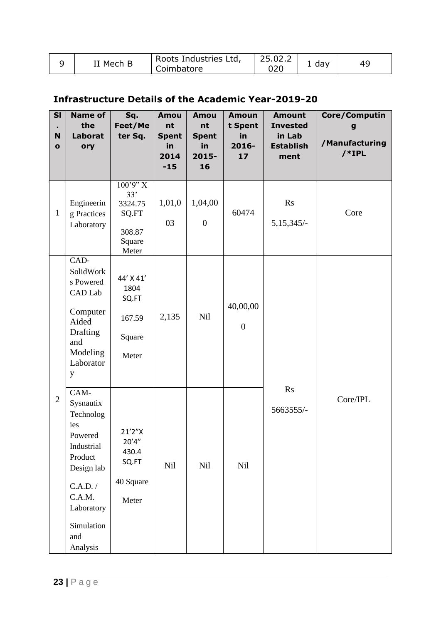| Mech B | Roots Industries Ltd, | 25.02.2 |     |  |
|--------|-----------------------|---------|-----|--|
|        | Coimbatore            | 02C     | dav |  |

## **Infrastructure Details of the Academic Year-2019-20**

| $\overline{\mathbf{S}}$<br>$\blacksquare$<br>$\mathbf N$<br>$\mathbf{o}$ | <b>Name of</b><br>the<br><b>Laborat</b><br>ory                                                                                                               | Sq.<br>Feet/Me<br>ter Sq.                                         | <b>Amou</b><br>nt<br><b>Spent</b><br>in<br>2014<br>$-15$ | Amou<br>nt<br><b>Spent</b><br>in<br>2015-<br>16 | <b>Amoun</b><br>t Spent<br>in<br>$2016 -$<br>17 | <b>Amount</b><br><b>Invested</b><br>in Lab<br><b>Establish</b><br>ment | Core/Computin<br>g<br>/Manufacturing<br>$/*IPL$ |
|--------------------------------------------------------------------------|--------------------------------------------------------------------------------------------------------------------------------------------------------------|-------------------------------------------------------------------|----------------------------------------------------------|-------------------------------------------------|-------------------------------------------------|------------------------------------------------------------------------|-------------------------------------------------|
| $\mathbf{1}$                                                             | Engineerin<br>g Practices<br>Laboratory                                                                                                                      | 100'9'' X<br>33'<br>3324.75<br>SQ.FT<br>308.87<br>Square<br>Meter | 1,01,0<br>03                                             | 1,04,00<br>$\boldsymbol{0}$                     | 60474                                           | Rs<br>$5,15,345/-$                                                     | Core                                            |
|                                                                          | CAD-<br>SolidWork<br>s Powered<br>CAD Lab<br>Computer<br>Aided<br>Drafting<br>and<br>Modeling<br>Laborator<br>y                                              | 44' X 41'<br>1804<br>SQ.FT<br>167.59<br>Square<br>Meter           | 2,135                                                    | Nil                                             | 40,00,00<br>$\boldsymbol{0}$                    |                                                                        |                                                 |
| $\overline{2}$                                                           | CAM-<br>Sysnautix<br>Technolog<br>ies<br>Powered<br>Industrial<br>Product<br>Design lab<br>C.A.D. /<br>C.A.M.<br>Laboratory<br>Simulation<br>and<br>Analysis | 21'2"X<br>20'4''<br>430.4<br>SQ.FT<br>40 Square<br>Meter          | Nil                                                      | Nil                                             | Nil                                             | Rs<br>5663555/-                                                        | Core/IPL                                        |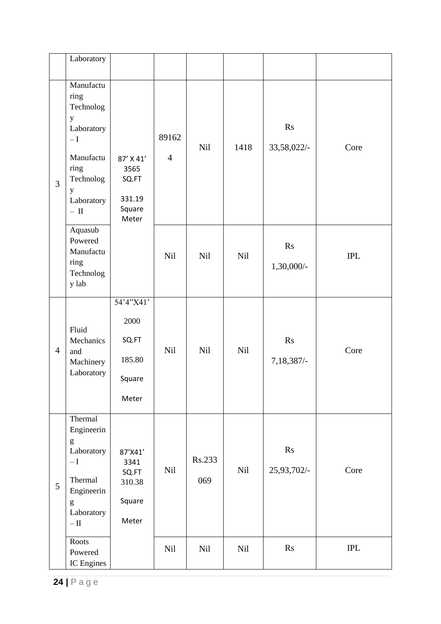|                | Laboratory                                                                                                                                              |                                                         |                         |               |            |                   |            |
|----------------|---------------------------------------------------------------------------------------------------------------------------------------------------------|---------------------------------------------------------|-------------------------|---------------|------------|-------------------|------------|
| $\overline{3}$ | Manufactu<br>ring<br>Technolog<br>$\mathbf y$<br>Laboratory<br>$-\operatorname{I}$<br>Manufactu<br>ring<br>Technolog<br>y<br>Laboratory<br>$- \;$ II    | 87' X 41'<br>3565<br>SQ.FT<br>331.19<br>Square<br>Meter | 89162<br>$\overline{4}$ | <b>Nil</b>    | 1418       | Rs<br>33,58,022/- | Core       |
|                | Aquasub<br>Powered<br>Manufactu<br>ring<br>Technolog<br>y lab                                                                                           |                                                         | Nil                     | Nil           | <b>Nil</b> | Rs<br>1,30,000/-  | <b>IPL</b> |
| $\overline{4}$ | Fluid<br>Mechanics<br>and<br>Machinery<br>Laboratory                                                                                                    | 54'4"X41'<br>2000<br>SQ.FT<br>185.80<br>Square<br>Meter | Nil                     | Nil           | <b>Nil</b> | Rs<br>7,18,387/-  | Core       |
| 5              | Thermal<br>Engineerin<br>$\mathbf{g}$<br>Laboratory<br>$-\mathbf{I}$<br>Thermal<br>Engineerin<br>$\mathbf{g}% _{0}$<br>Laboratory<br>$- \, \mathrm{II}$ | 87'X41'<br>3341<br>SQ.FT<br>310.38<br>Square<br>Meter   | Nil                     | Rs.233<br>069 | Nil        | Rs<br>25,93,702/- | Core       |
|                | Roots<br>Powered<br>IC Engines                                                                                                                          |                                                         | Nil                     | Nil           | Nil        | $\mathbf{R}$ s    | <b>IPL</b> |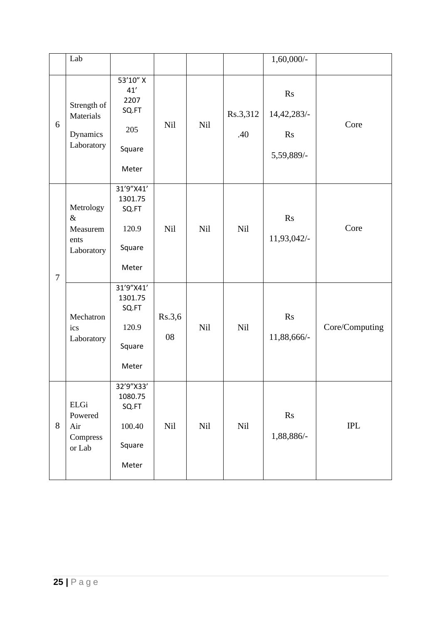|                | Lab                                                 |                                                            |              |            |                 | $1,60,000/$ -                                |                           |
|----------------|-----------------------------------------------------|------------------------------------------------------------|--------------|------------|-----------------|----------------------------------------------|---------------------------|
| 6              | Strength of<br>Materials<br>Dynamics<br>Laboratory  | 53'10" X<br>41'<br>2207<br>SQ.FT<br>205<br>Square<br>Meter | <b>Nil</b>   | <b>Nil</b> | Rs.3,312<br>.40 | Rs<br>14,42,283/-<br><b>Rs</b><br>5,59,889/- | Core                      |
| $\overline{7}$ | Metrology<br>$\&$<br>Measurem<br>ents<br>Laboratory | 31'9"X41'<br>1301.75<br>SQ.FT<br>120.9<br>Square<br>Meter  | Nil          | Nil        | Nil             | Rs<br>11,93,042/-                            | Core                      |
|                | Mechatron<br>ics<br>Laboratory                      | 31'9"X41'<br>1301.75<br>SQ.FT<br>120.9<br>Square<br>Meter  | Rs.3,6<br>08 | Nil        | Nil             | Rs<br>11,88,666/-                            | Core/Computing            |
| 8              | ELGi<br>Powered<br>Air<br>Compress<br>or Lab        | 32'9"X33'<br>1080.75<br>SQ.FT<br>100.40<br>Square<br>Meter | Nil          | Nil        | Nil             | Rs<br>1,88,886/-                             | $\ensuremath{\text{IPL}}$ |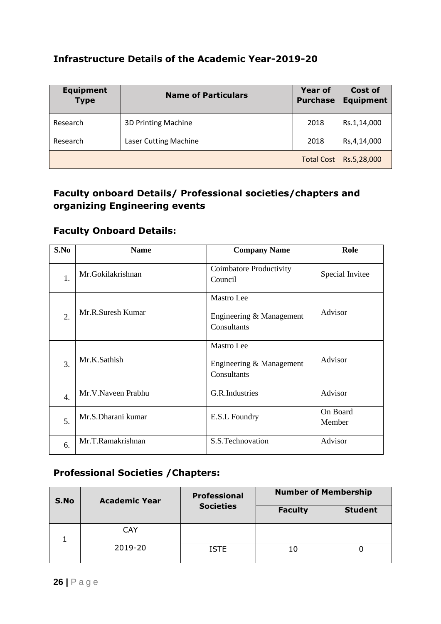#### **Infrastructure Details of the Academic Year-2019-20**

| <b>Equipment</b><br><b>Type</b> | <b>Name of Particulars</b>   | <b>Year of</b><br><b>Purchase</b> | Cost of<br><b>Equipment</b> |
|---------------------------------|------------------------------|-----------------------------------|-----------------------------|
| Research                        | <b>3D Printing Machine</b>   | 2018                              | Rs.1,14,000                 |
| Research                        | <b>Laser Cutting Machine</b> | 2018                              | Rs, 4, 14, 000              |
|                                 |                              | <b>Total Cost</b>                 | Rs.5,28,000                 |

#### **Faculty onboard Details/ Professional societies/chapters and organizing Engineering events**

#### **Faculty Onboard Details:**

| S.No             | <b>Name</b>        | <b>Company Name</b>                                   | Role               |
|------------------|--------------------|-------------------------------------------------------|--------------------|
| 1.               | Mr.Gokilakrishnan  | Coimbatore Productivity<br>Council                    | Special Invitee    |
| 2.               | Mr.R.Suresh Kumar  | Mastro Lee<br>Engineering & Management<br>Consultants | Advisor            |
| 3.               | Mr.K.Sathish       | Mastro Lee<br>Engineering & Management<br>Consultants | Advisor            |
| $\overline{4}$ . | Mr.V.Naveen Prabhu | G.R.Industries                                        | Advisor            |
| 5.               | Mr.S.Dharani kumar | E.S.L Foundry                                         | On Board<br>Member |
| 6.               | Mr.T.Ramakrishnan  | S.S.Technovation                                      | Advisor            |

#### **Professional Societies /Chapters:**

| S.No | <b>Academic Year</b> | <b>Professional</b><br><b>Societies</b> | <b>Number of Membership</b> |                |
|------|----------------------|-----------------------------------------|-----------------------------|----------------|
|      |                      |                                         | <b>Faculty</b>              | <b>Student</b> |
|      | <b>CAY</b>           |                                         |                             |                |
|      | 2019-20              | <b>ISTE</b>                             |                             |                |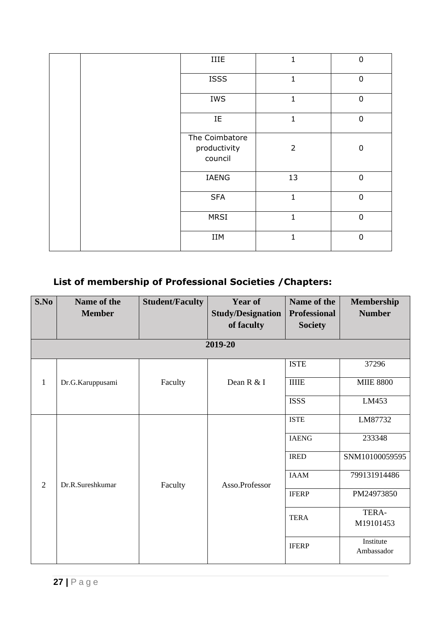|  | IIIE                                      | 1              | $\pmb{0}$        |
|--|-------------------------------------------|----------------|------------------|
|  | <b>ISSS</b>                               | $\mathbf 1$    | $\pmb{0}$        |
|  | IWS                                       | $\mathbf{1}$   | $\pmb{0}$        |
|  | $\rm IE$                                  | $\mathbf{1}$   | $\mathbf 0$      |
|  | The Coimbatore<br>productivity<br>council | $\overline{2}$ | $\boldsymbol{0}$ |
|  | IAENG                                     | 13             | $\mathbf 0$      |
|  | <b>SFA</b>                                | $\mathbf{1}$   | $\mathbf 0$      |
|  | MRSI                                      | $\mathbf{1}$   | $\pmb{0}$        |
|  | IIM                                       | $\mathbf{1}$   | $\pmb{0}$        |

## **List of membership of Professional Societies /Chapters:**

| S.No           | Name of the      | <b>Student/Faculty</b> | <b>Year of</b>           | Name of the         | <b>Membership</b>       |
|----------------|------------------|------------------------|--------------------------|---------------------|-------------------------|
|                | <b>Member</b>    |                        | <b>Study/Designation</b> | <b>Professional</b> | <b>Number</b>           |
|                |                  |                        | of faculty               | <b>Society</b>      |                         |
|                |                  |                        |                          |                     |                         |
|                |                  |                        | 2019-20                  |                     |                         |
|                |                  |                        |                          | <b>ISTE</b>         | 37296                   |
| $\mathbf{1}$   | Dr.G.Karuppusami | Faculty                | Dean R & I               | <b>IIIIE</b>        | <b>MIIE 8800</b>        |
|                |                  |                        |                          | <b>ISSS</b>         | LM453                   |
| $\overline{2}$ | Dr.R.Sureshkumar | Faculty                | Asso.Professor           | <b>ISTE</b>         | LM87732                 |
|                |                  |                        |                          | <b>IAENG</b>        | 233348                  |
|                |                  |                        |                          | <b>IRED</b>         | SNM10100059595          |
|                |                  |                        |                          | <b>IAAM</b>         | 799131914486            |
|                |                  |                        |                          | <b>IFERP</b>        | PM24973850              |
|                |                  |                        |                          | <b>TERA</b>         | TERA-<br>M19101453      |
|                |                  |                        |                          |                     |                         |
|                |                  |                        |                          | <b>IFERP</b>        | Institute<br>Ambassador |
|                |                  |                        |                          |                     |                         |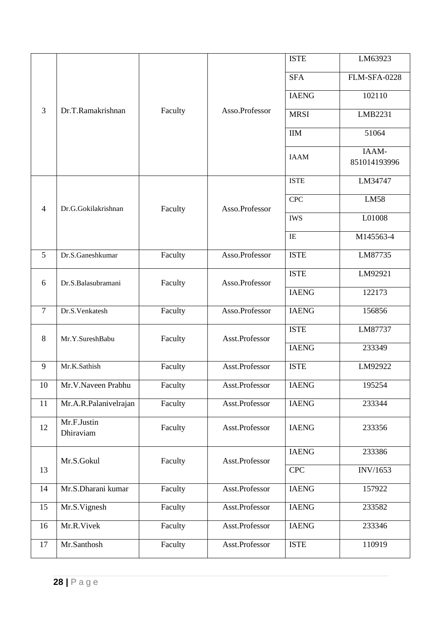| $\overline{3}$ | Dr.T.Ramakrishnan        | Faculty |                | <b>ISTE</b>   | LM63923               |
|----------------|--------------------------|---------|----------------|---------------|-----------------------|
|                |                          |         |                | <b>SFA</b>    | <b>FLM-SFA-0228</b>   |
|                |                          |         |                | <b>IAENG</b>  | 102110                |
|                |                          |         | Asso.Professor | <b>MRSI</b>   | LMB2231               |
|                |                          |         |                | $\text{IM}{}$ | 51064                 |
|                |                          |         |                | <b>IAAM</b>   | IAAM-<br>851014193996 |
|                |                          |         |                | <b>ISTE</b>   | LM34747               |
| $\overline{4}$ | Dr.G.Gokilakrishnan      | Faculty | Asso.Professor | <b>CPC</b>    | <b>LM58</b>           |
|                |                          |         |                | <b>IWS</b>    | L01008                |
|                |                          |         |                | IE            | M145563-4             |
| 5              | Dr.S.Ganeshkumar         | Faculty | Asso.Professor | <b>ISTE</b>   | LM87735               |
| 6              | Dr.S.Balasubramani       | Faculty | Asso.Professor | <b>ISTE</b>   | LM92921               |
|                |                          |         |                | <b>IAENG</b>  | 122173                |
| 7              | Dr.S.Venkatesh           | Faculty | Asso.Professor | <b>IAENG</b>  | 156856                |
| 8              | Mr.Y.SureshBabu          | Faculty | Asst.Professor | <b>ISTE</b>   | LM87737               |
|                |                          |         |                | <b>IAENG</b>  | 233349                |
| 9              | Mr.K.Sathish             | Faculty | Asst.Professor | <b>ISTE</b>   | LM92922               |
| 10             | Mr.V.Naveen Prabhu       | Faculty | Asst.Professor | <b>IAENG</b>  | 195254                |
| 11             | Mr.A.R.Palanivelrajan    | Faculty | Asst.Professor | <b>IAENG</b>  | 233344                |
| 12             | Mr.F.Justin<br>Dhiraviam | Faculty | Asst.Professor | <b>IAENG</b>  | 233356                |
| 13             | Mr.S.Gokul               | Faculty | Asst.Professor | <b>IAENG</b>  | 233386                |
|                |                          |         |                | <b>CPC</b>    | INV/1653              |
| 14             | Mr.S.Dharani kumar       | Faculty | Asst.Professor | <b>IAENG</b>  | 157922                |
| 15             | Mr.S.Vignesh             | Faculty | Asst.Professor | <b>IAENG</b>  | 233582                |
| 16             | Mr.R.Vivek               | Faculty | Asst.Professor | <b>IAENG</b>  | 233346                |
| 17             | Mr.Santhosh              | Faculty | Asst.Professor | <b>ISTE</b>   | 110919                |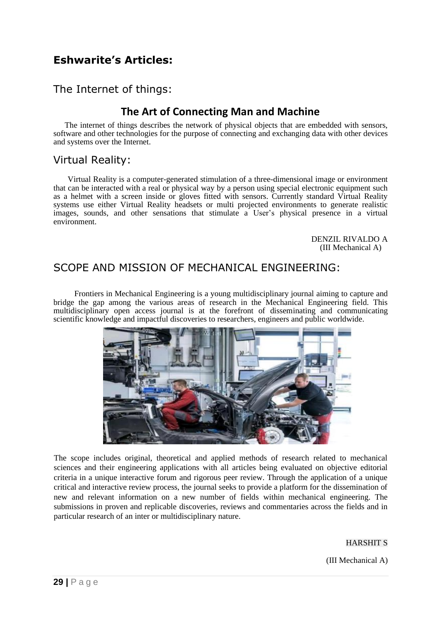## **Eshwarite's Articles:**

#### The Internet of things:

#### **The Art of Connecting Man and Machine**

The internet of things describes the network of physical objects that are embedded with sensors, software and other technologies for the purpose of connecting and exchanging data with other devices and systems over the Internet.

#### Virtual Reality:

Virtual Reality is a computer-generated stimulation of a three-dimensional image or environment that can be interacted with a real or physical way by a person using special electronic equipment such as a helmet with a screen inside or gloves fitted with sensors. Currently standard Virtual Reality systems use either Virtual Reality headsets or multi projected environments to generate realistic images, sounds, and other sensations that stimulate a User's physical presence in a virtual environment.

> DENZIL RIVALDO A (III Mechanical A)

#### SCOPE AND MISSION OF MECHANICAL ENGINEERING:

Frontiers in Mechanical Engineering is a young multidisciplinary journal aiming to capture and bridge the gap among the various areas of research in the Mechanical Engineering field. This multidisciplinary open access journal is at the forefront of disseminating and communicating scientific knowledge and impactful discoveries to researchers, engineers and public worldwide.



The scope includes original, theoretical and applied methods of research related to mechanical sciences and their engineering applications with all articles being evaluated on objective editorial criteria in a unique interactive forum and rigorous peer review. Through the application of a unique critical and interactive review process, the journal seeks to provide a platform for the dissemination of new and relevant information on a new number of fields within mechanical engineering. The submissions in proven and replicable discoveries, reviews and commentaries across the fields and in particular research of an inter or multidisciplinary nature.

#### HARSHIT S

(III Mechanical A)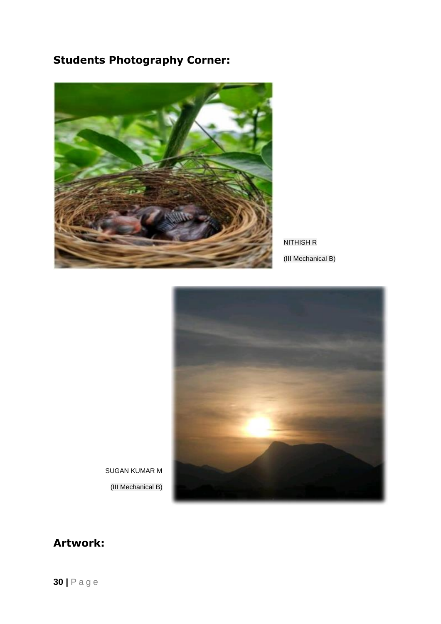## **Students Photography Corner:**



NITHISH R

(III Mechanical B)



SUGAN KUMAR M (III Mechanical B)

## **Artwork:**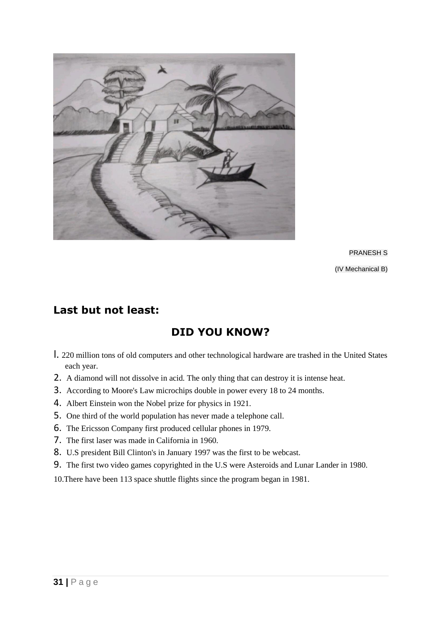

PRANESH S (IV Mechanical B)

## **Last but not least:**

## **DID YOU KNOW?**

- l. 220 million tons of old computers and other technological hardware are trashed in the United States each year.
- 2. A diamond will not dissolve in acid. The only thing that can destroy it is intense heat.
- 3. According to Moore's Law microchips double in power every 18 to 24 months.
- 4. Albert Einstein won the Nobel prize for physics in 1921.
- 5. One third of the world population has never made a telephone call.
- 6. The Ericsson Company first produced cellular phones in 1979.
- 7. The first laser was made in California in 1960.
- 8. U.S president Bill Clinton's in January 1997 was the first to be webcast.
- 9. The first two video games copyrighted in the U.S were Asteroids and Lunar Lander in 1980.
- 10.There have been 113 space shuttle flights since the program began in 1981.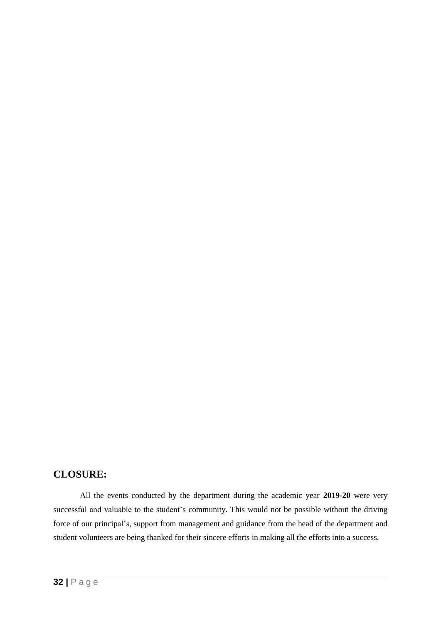#### **CLOSURE:**

All the events conducted by the department during the academic year **2019-20** were very successful and valuable to the student's community. This would not be possible without the driving force of our principal's, support from management and guidance from the head of the department and student volunteers are being thanked for their sincere efforts in making all the efforts into a success.